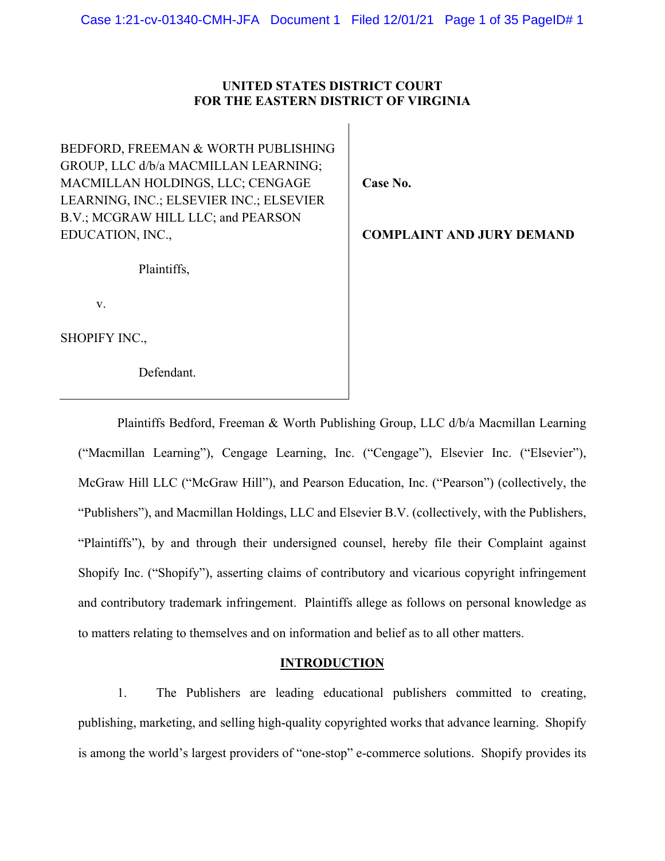# **UNITED STATES DISTRICT COURT FOR THE EASTERN DISTRICT OF VIRGINIA**

BEDFORD, FREEMAN & WORTH PUBLISHING GROUP, LLC d/b/a MACMILLAN LEARNING; MACMILLAN HOLDINGS, LLC; CENGAGE LEARNING, INC.; ELSEVIER INC.; ELSEVIER B.V.; MCGRAW HILL LLC; and PEARSON EDUCATION, INC.,

**Case No.** 

**COMPLAINT AND JURY DEMAND**

Plaintiffs,

v.

SHOPIFY INC.,

Defendant.

Plaintiffs Bedford, Freeman & Worth Publishing Group, LLC d/b/a Macmillan Learning ("Macmillan Learning"), Cengage Learning, Inc. ("Cengage"), Elsevier Inc. ("Elsevier"), McGraw Hill LLC ("McGraw Hill"), and Pearson Education, Inc. ("Pearson") (collectively, the "Publishers"), and Macmillan Holdings, LLC and Elsevier B.V. (collectively, with the Publishers, "Plaintiffs"), by and through their undersigned counsel, hereby file their Complaint against Shopify Inc. ("Shopify"), asserting claims of contributory and vicarious copyright infringement and contributory trademark infringement. Plaintiffs allege as follows on personal knowledge as to matters relating to themselves and on information and belief as to all other matters.

## **INTRODUCTION**

1. The Publishers are leading educational publishers committed to creating, publishing, marketing, and selling high-quality copyrighted works that advance learning. Shopify is among the world's largest providers of "one-stop" e-commerce solutions. Shopify provides its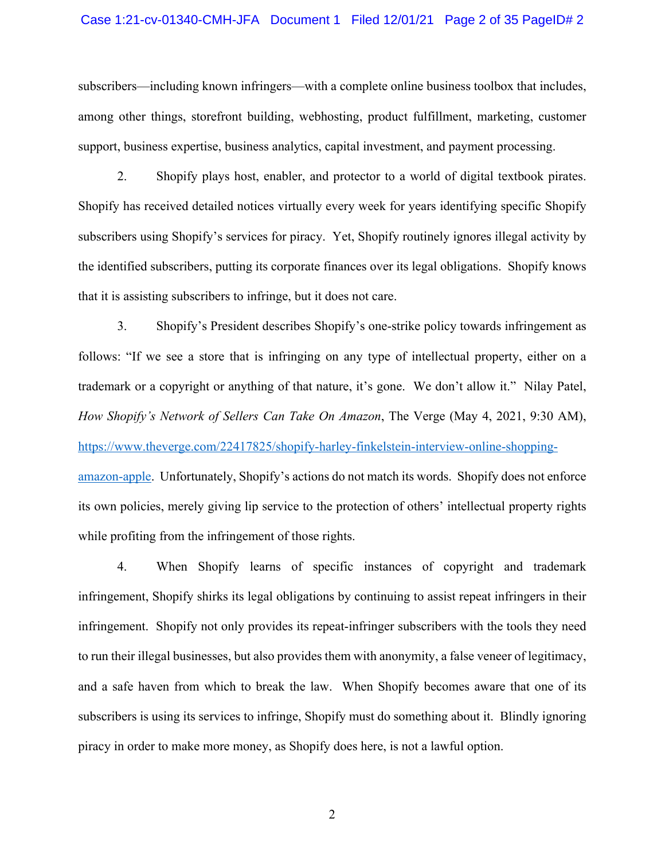#### Case 1:21-cv-01340-CMH-JFA Document 1 Filed 12/01/21 Page 2 of 35 PageID# 2

subscribers—including known infringers—with a complete online business toolbox that includes, among other things, storefront building, webhosting, product fulfillment, marketing, customer support, business expertise, business analytics, capital investment, and payment processing.

2. Shopify plays host, enabler, and protector to a world of digital textbook pirates. Shopify has received detailed notices virtually every week for years identifying specific Shopify subscribers using Shopify's services for piracy. Yet, Shopify routinely ignores illegal activity by the identified subscribers, putting its corporate finances over its legal obligations. Shopify knows that it is assisting subscribers to infringe, but it does not care.

3. Shopify's President describes Shopify's one-strike policy towards infringement as follows: "If we see a store that is infringing on any type of intellectual property, either on a trademark or a copyright or anything of that nature, it's gone. We don't allow it." Nilay Patel, *How Shopify's Network of Sellers Can Take On Amazon*, The Verge (May 4, 2021, 9:30 AM), https://www.theverge.com/22417825/shopify-harley-finkelstein-interview-online-shoppingamazon-apple. Unfortunately, Shopify's actions do not match its words. Shopify does not enforce its own policies, merely giving lip service to the protection of others' intellectual property rights while profiting from the infringement of those rights.

4. When Shopify learns of specific instances of copyright and trademark infringement, Shopify shirks its legal obligations by continuing to assist repeat infringers in their infringement. Shopify not only provides its repeat-infringer subscribers with the tools they need to run their illegal businesses, but also provides them with anonymity, a false veneer of legitimacy, and a safe haven from which to break the law. When Shopify becomes aware that one of its subscribers is using its services to infringe, Shopify must do something about it. Blindly ignoring piracy in order to make more money, as Shopify does here, is not a lawful option.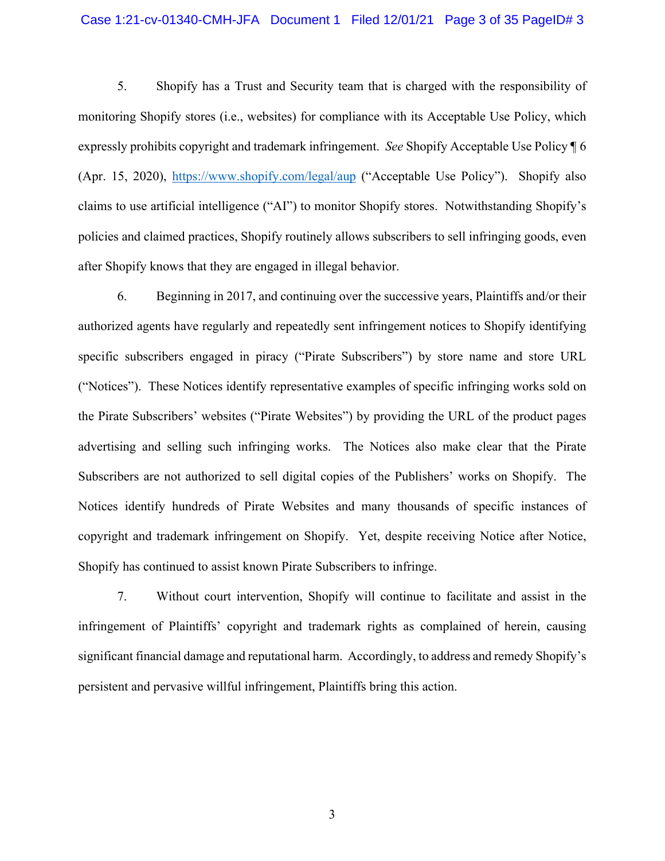## Case 1:21-cv-01340-CMH-JFA Document 1 Filed 12/01/21 Page 3 of 35 PageID# 3

5. Shopify has a Trust and Security team that is charged with the responsibility of monitoring Shopify stores (i.e., websites) for compliance with its Acceptable Use Policy, which expressly prohibits copyright and trademark infringement. *See* Shopify Acceptable Use Policy ¶ 6 (Apr. 15, 2020), https://www.shopify.com/legal/aup ("Acceptable Use Policy"). Shopify also claims to use artificial intelligence ("AI") to monitor Shopify stores. Notwithstanding Shopify's policies and claimed practices, Shopify routinely allows subscribers to sell infringing goods, even after Shopify knows that they are engaged in illegal behavior.

6. Beginning in 2017, and continuing over the successive years, Plaintiffs and/or their authorized agents have regularly and repeatedly sent infringement notices to Shopify identifying specific subscribers engaged in piracy ("Pirate Subscribers") by store name and store URL ("Notices"). These Notices identify representative examples of specific infringing works sold on the Pirate Subscribers' websites ("Pirate Websites") by providing the URL of the product pages advertising and selling such infringing works. The Notices also make clear that the Pirate Subscribers are not authorized to sell digital copies of the Publishers' works on Shopify. The Notices identify hundreds of Pirate Websites and many thousands of specific instances of copyright and trademark infringement on Shopify. Yet, despite receiving Notice after Notice, Shopify has continued to assist known Pirate Subscribers to infringe.

7. Without court intervention, Shopify will continue to facilitate and assist in the infringement of Plaintiffs' copyright and trademark rights as complained of herein, causing significant financial damage and reputational harm. Accordingly, to address and remedy Shopify's persistent and pervasive willful infringement, Plaintiffs bring this action.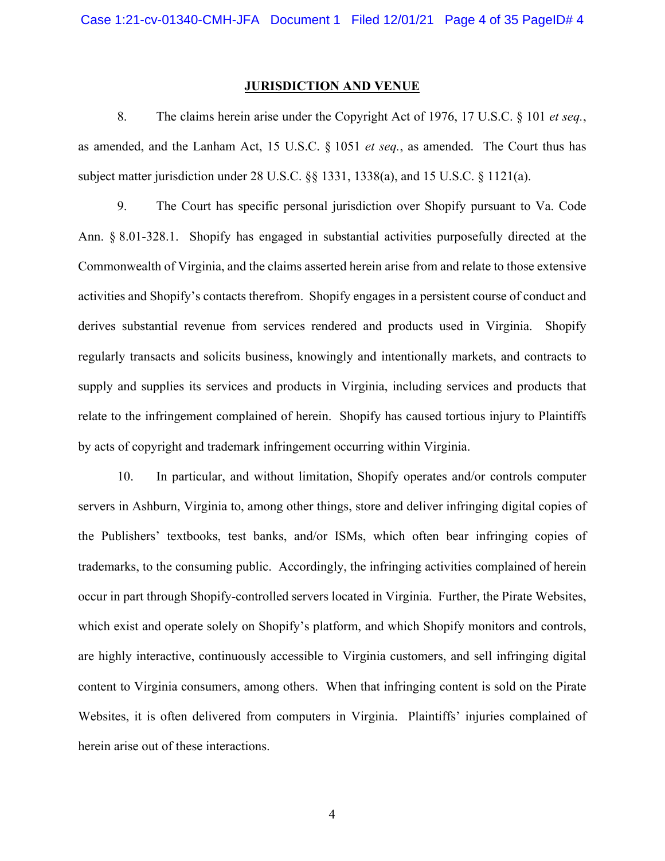#### **JURISDICTION AND VENUE**

8. The claims herein arise under the Copyright Act of 1976, 17 U.S.C. § 101 *et seq.*, as amended, and the Lanham Act, 15 U.S.C. § 1051 *et seq.*, as amended. The Court thus has subject matter jurisdiction under 28 U.S.C. §§ 1331, 1338(a), and 15 U.S.C. § 1121(a).

9. The Court has specific personal jurisdiction over Shopify pursuant to Va. Code Ann. § 8.01-328.1. Shopify has engaged in substantial activities purposefully directed at the Commonwealth of Virginia, and the claims asserted herein arise from and relate to those extensive activities and Shopify's contacts therefrom. Shopify engages in a persistent course of conduct and derives substantial revenue from services rendered and products used in Virginia. Shopify regularly transacts and solicits business, knowingly and intentionally markets, and contracts to supply and supplies its services and products in Virginia, including services and products that relate to the infringement complained of herein. Shopify has caused tortious injury to Plaintiffs by acts of copyright and trademark infringement occurring within Virginia.

10. In particular, and without limitation, Shopify operates and/or controls computer servers in Ashburn, Virginia to, among other things, store and deliver infringing digital copies of the Publishers' textbooks, test banks, and/or ISMs, which often bear infringing copies of trademarks, to the consuming public. Accordingly, the infringing activities complained of herein occur in part through Shopify-controlled servers located in Virginia. Further, the Pirate Websites, which exist and operate solely on Shopify's platform, and which Shopify monitors and controls, are highly interactive, continuously accessible to Virginia customers, and sell infringing digital content to Virginia consumers, among others. When that infringing content is sold on the Pirate Websites, it is often delivered from computers in Virginia. Plaintiffs' injuries complained of herein arise out of these interactions.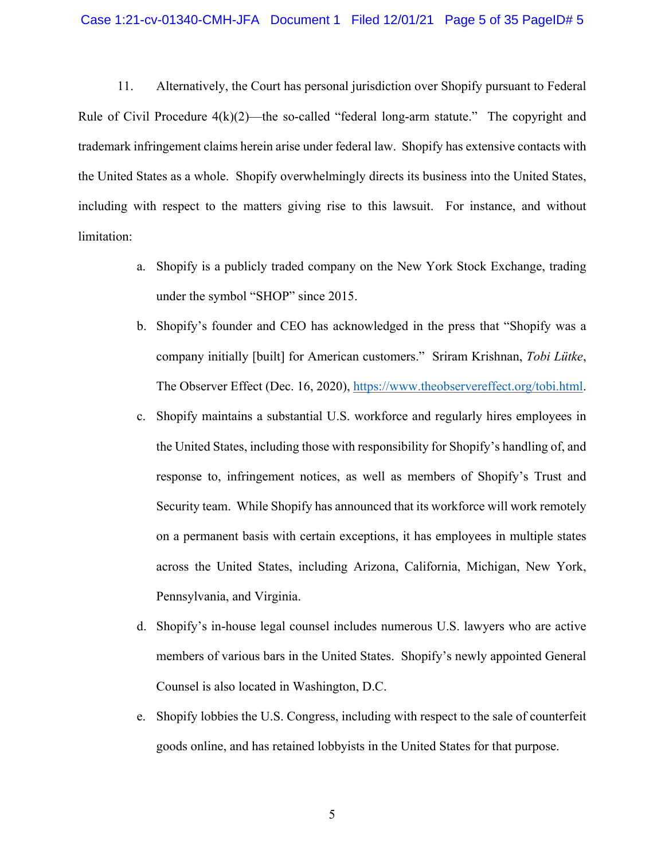11. Alternatively, the Court has personal jurisdiction over Shopify pursuant to Federal Rule of Civil Procedure  $4(k)(2)$ —the so-called "federal long-arm statute." The copyright and trademark infringement claims herein arise under federal law. Shopify has extensive contacts with the United States as a whole. Shopify overwhelmingly directs its business into the United States, including with respect to the matters giving rise to this lawsuit. For instance, and without limitation:

- a. Shopify is a publicly traded company on the New York Stock Exchange, trading under the symbol "SHOP" since 2015.
- b. Shopify's founder and CEO has acknowledged in the press that "Shopify was a company initially [built] for American customers." Sriram Krishnan, *Tobi Lütke*, The Observer Effect (Dec. 16, 2020), https://www.theobservereffect.org/tobi.html.
- c. Shopify maintains a substantial U.S. workforce and regularly hires employees in the United States, including those with responsibility for Shopify's handling of, and response to, infringement notices, as well as members of Shopify's Trust and Security team. While Shopify has announced that its workforce will work remotely on a permanent basis with certain exceptions, it has employees in multiple states across the United States, including Arizona, California, Michigan, New York, Pennsylvania, and Virginia.
- d. Shopify's in-house legal counsel includes numerous U.S. lawyers who are active members of various bars in the United States. Shopify's newly appointed General Counsel is also located in Washington, D.C.
- e. Shopify lobbies the U.S. Congress, including with respect to the sale of counterfeit goods online, and has retained lobbyists in the United States for that purpose.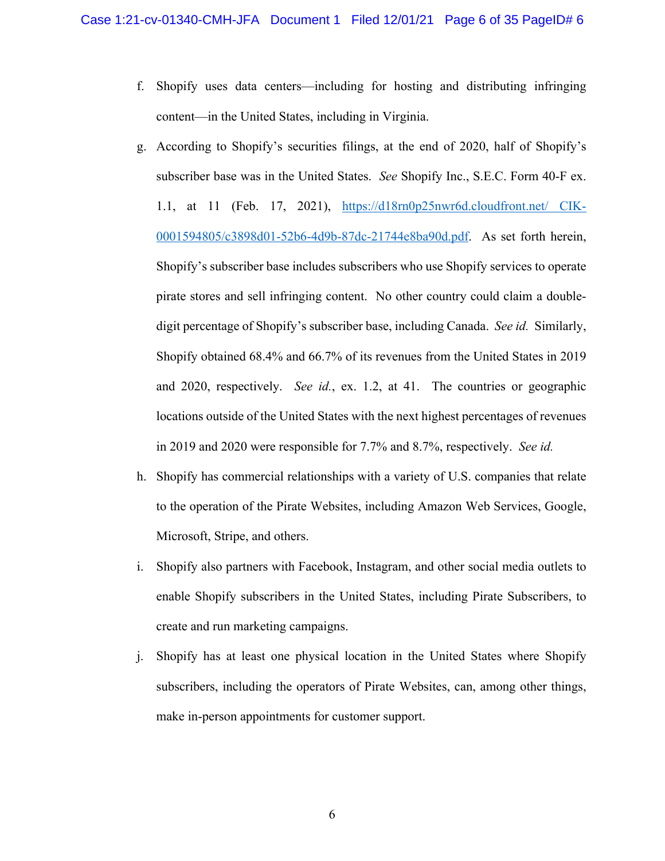- f. Shopify uses data centers—including for hosting and distributing infringing content—in the United States, including in Virginia.
- g. According to Shopify's securities filings, at the end of 2020, half of Shopify's subscriber base was in the United States. *See* Shopify Inc., S.E.C. Form 40-F ex. 1.1, at 11 (Feb. 17, 2021), https://d18rn0p25nwr6d.cloudfront.net/ CIK-0001594805/c3898d01-52b6-4d9b-87dc-21744e8ba90d.pdf. As set forth herein, Shopify's subscriber base includes subscribers who use Shopify services to operate pirate stores and sell infringing content. No other country could claim a doubledigit percentage of Shopify's subscriber base, including Canada. *See id.* Similarly, Shopify obtained 68.4% and 66.7% of its revenues from the United States in 2019 and 2020, respectively. *See id.*, ex. 1.2, at 41. The countries or geographic locations outside of the United States with the next highest percentages of revenues in 2019 and 2020 were responsible for 7.7% and 8.7%, respectively. *See id.*
- h. Shopify has commercial relationships with a variety of U.S. companies that relate to the operation of the Pirate Websites, including Amazon Web Services, Google, Microsoft, Stripe, and others.
- i. Shopify also partners with Facebook, Instagram, and other social media outlets to enable Shopify subscribers in the United States, including Pirate Subscribers, to create and run marketing campaigns.
- j. Shopify has at least one physical location in the United States where Shopify subscribers, including the operators of Pirate Websites, can, among other things, make in-person appointments for customer support.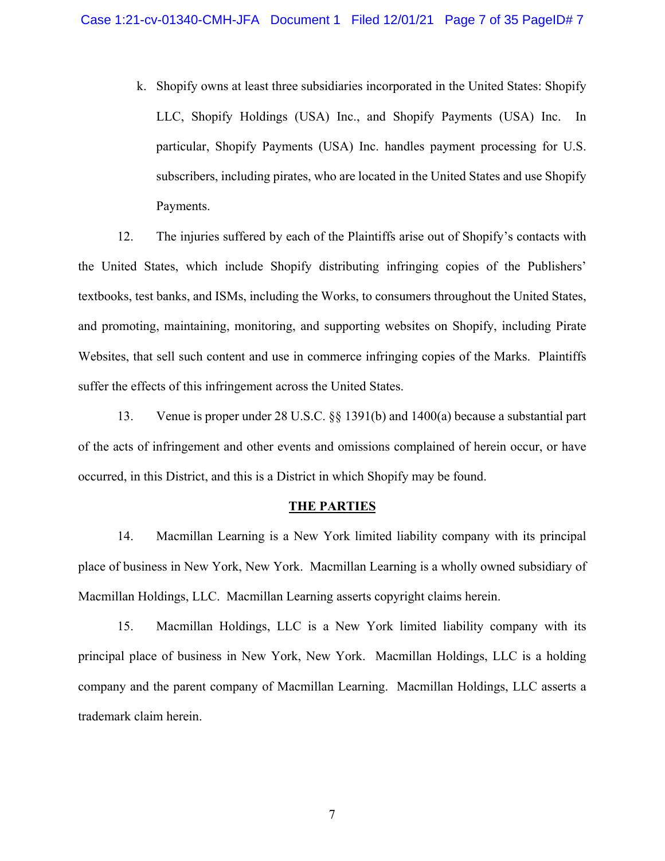k. Shopify owns at least three subsidiaries incorporated in the United States: Shopify LLC, Shopify Holdings (USA) Inc., and Shopify Payments (USA) Inc. In particular, Shopify Payments (USA) Inc. handles payment processing for U.S. subscribers, including pirates, who are located in the United States and use Shopify Payments.

12. The injuries suffered by each of the Plaintiffs arise out of Shopify's contacts with the United States, which include Shopify distributing infringing copies of the Publishers' textbooks, test banks, and ISMs, including the Works, to consumers throughout the United States, and promoting, maintaining, monitoring, and supporting websites on Shopify, including Pirate Websites, that sell such content and use in commerce infringing copies of the Marks. Plaintiffs suffer the effects of this infringement across the United States.

13. Venue is proper under 28 U.S.C. §§ 1391(b) and 1400(a) because a substantial part of the acts of infringement and other events and omissions complained of herein occur, or have occurred, in this District, and this is a District in which Shopify may be found.

## **THE PARTIES**

14. Macmillan Learning is a New York limited liability company with its principal place of business in New York, New York. Macmillan Learning is a wholly owned subsidiary of Macmillan Holdings, LLC. Macmillan Learning asserts copyright claims herein.

15. Macmillan Holdings, LLC is a New York limited liability company with its principal place of business in New York, New York. Macmillan Holdings, LLC is a holding company and the parent company of Macmillan Learning. Macmillan Holdings, LLC asserts a trademark claim herein.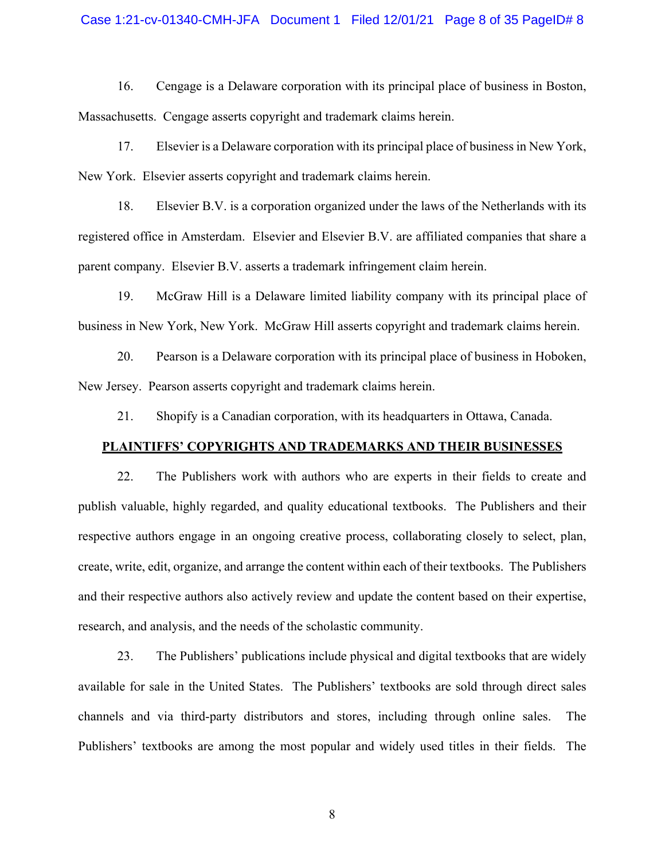## Case 1:21-cv-01340-CMH-JFA Document 1 Filed 12/01/21 Page 8 of 35 PageID# 8

16. Cengage is a Delaware corporation with its principal place of business in Boston, Massachusetts. Cengage asserts copyright and trademark claims herein.

17. Elsevier is a Delaware corporation with its principal place of business in New York, New York. Elsevier asserts copyright and trademark claims herein.

18. Elsevier B.V. is a corporation organized under the laws of the Netherlands with its registered office in Amsterdam. Elsevier and Elsevier B.V. are affiliated companies that share a parent company. Elsevier B.V. asserts a trademark infringement claim herein.

19. McGraw Hill is a Delaware limited liability company with its principal place of business in New York, New York. McGraw Hill asserts copyright and trademark claims herein.

20. Pearson is a Delaware corporation with its principal place of business in Hoboken, New Jersey. Pearson asserts copyright and trademark claims herein.

21. Shopify is a Canadian corporation, with its headquarters in Ottawa, Canada.

## **PLAINTIFFS' COPYRIGHTS AND TRADEMARKS AND THEIR BUSINESSES**

22. The Publishers work with authors who are experts in their fields to create and publish valuable, highly regarded, and quality educational textbooks. The Publishers and their respective authors engage in an ongoing creative process, collaborating closely to select, plan, create, write, edit, organize, and arrange the content within each of their textbooks. The Publishers and their respective authors also actively review and update the content based on their expertise, research, and analysis, and the needs of the scholastic community.

23. The Publishers' publications include physical and digital textbooks that are widely available for sale in the United States. The Publishers' textbooks are sold through direct sales channels and via third-party distributors and stores, including through online sales. The Publishers' textbooks are among the most popular and widely used titles in their fields. The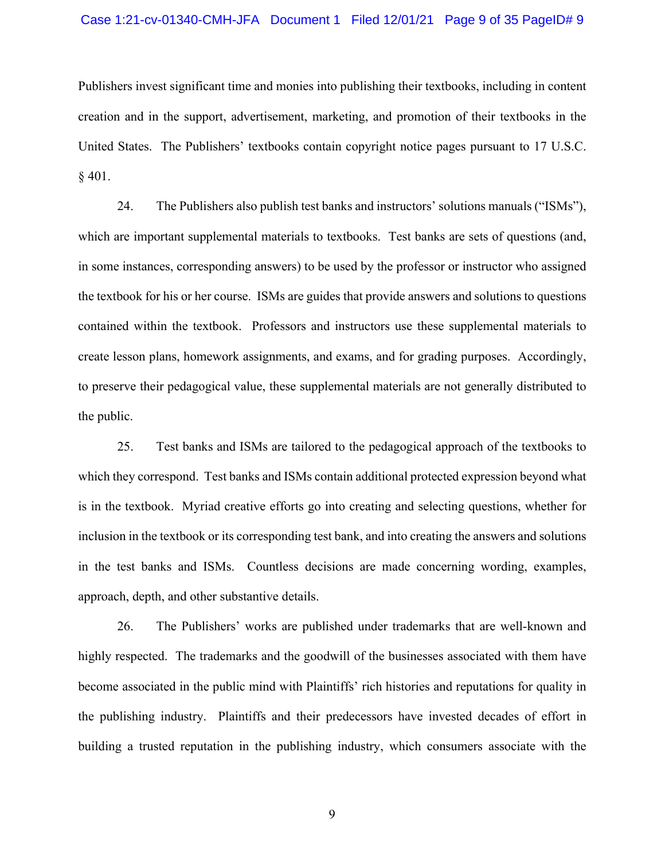#### Case 1:21-cv-01340-CMH-JFA Document 1 Filed 12/01/21 Page 9 of 35 PageID# 9

Publishers invest significant time and monies into publishing their textbooks, including in content creation and in the support, advertisement, marketing, and promotion of their textbooks in the United States. The Publishers' textbooks contain copyright notice pages pursuant to 17 U.S.C. § 401.

24. The Publishers also publish test banks and instructors' solutions manuals ("ISMs"), which are important supplemental materials to textbooks. Test banks are sets of questions (and, in some instances, corresponding answers) to be used by the professor or instructor who assigned the textbook for his or her course. ISMs are guides that provide answers and solutions to questions contained within the textbook. Professors and instructors use these supplemental materials to create lesson plans, homework assignments, and exams, and for grading purposes. Accordingly, to preserve their pedagogical value, these supplemental materials are not generally distributed to the public.

25. Test banks and ISMs are tailored to the pedagogical approach of the textbooks to which they correspond. Test banks and ISMs contain additional protected expression beyond what is in the textbook. Myriad creative efforts go into creating and selecting questions, whether for inclusion in the textbook or its corresponding test bank, and into creating the answers and solutions in the test banks and ISMs. Countless decisions are made concerning wording, examples, approach, depth, and other substantive details.

26. The Publishers' works are published under trademarks that are well-known and highly respected. The trademarks and the goodwill of the businesses associated with them have become associated in the public mind with Plaintiffs' rich histories and reputations for quality in the publishing industry. Plaintiffs and their predecessors have invested decades of effort in building a trusted reputation in the publishing industry, which consumers associate with the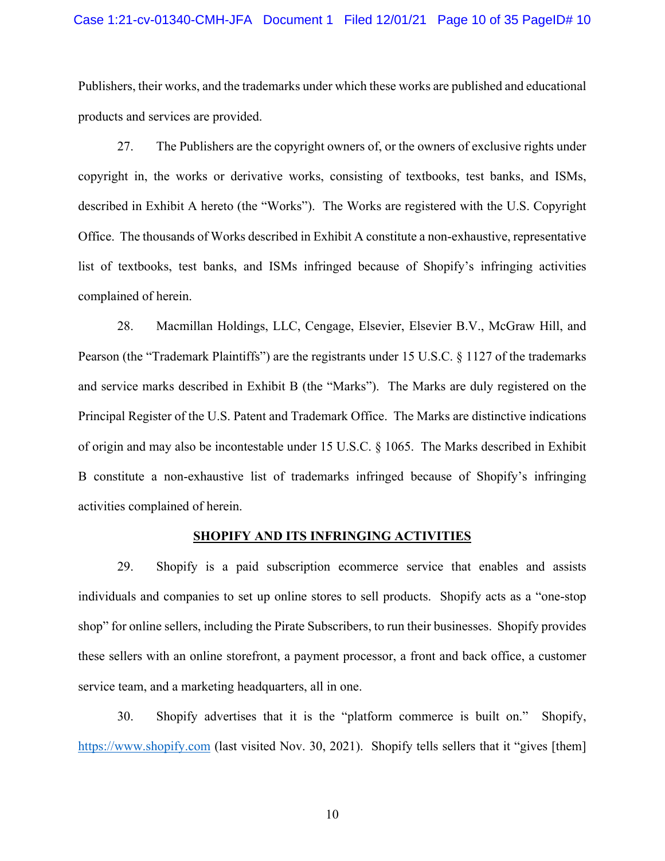## Case 1:21-cv-01340-CMH-JFA Document 1 Filed 12/01/21 Page 10 of 35 PageID# 10

Publishers, their works, and the trademarks under which these works are published and educational products and services are provided.

27. The Publishers are the copyright owners of, or the owners of exclusive rights under copyright in, the works or derivative works, consisting of textbooks, test banks, and ISMs, described in Exhibit A hereto (the "Works"). The Works are registered with the U.S. Copyright Office. The thousands of Works described in Exhibit A constitute a non-exhaustive, representative list of textbooks, test banks, and ISMs infringed because of Shopify's infringing activities complained of herein.

28. Macmillan Holdings, LLC, Cengage, Elsevier, Elsevier B.V., McGraw Hill, and Pearson (the "Trademark Plaintiffs") are the registrants under 15 U.S.C. § 1127 of the trademarks and service marks described in Exhibit B (the "Marks"). The Marks are duly registered on the Principal Register of the U.S. Patent and Trademark Office. The Marks are distinctive indications of origin and may also be incontestable under 15 U.S.C. § 1065. The Marks described in Exhibit B constitute a non-exhaustive list of trademarks infringed because of Shopify's infringing activities complained of herein.

#### **SHOPIFY AND ITS INFRINGING ACTIVITIES**

29. Shopify is a paid subscription ecommerce service that enables and assists individuals and companies to set up online stores to sell products. Shopify acts as a "one-stop shop" for online sellers, including the Pirate Subscribers, to run their businesses. Shopify provides these sellers with an online storefront, a payment processor, a front and back office, a customer service team, and a marketing headquarters, all in one.

30. Shopify advertises that it is the "platform commerce is built on." Shopify, https://www.shopify.com (last visited Nov. 30, 2021). Shopify tells sellers that it "gives [them]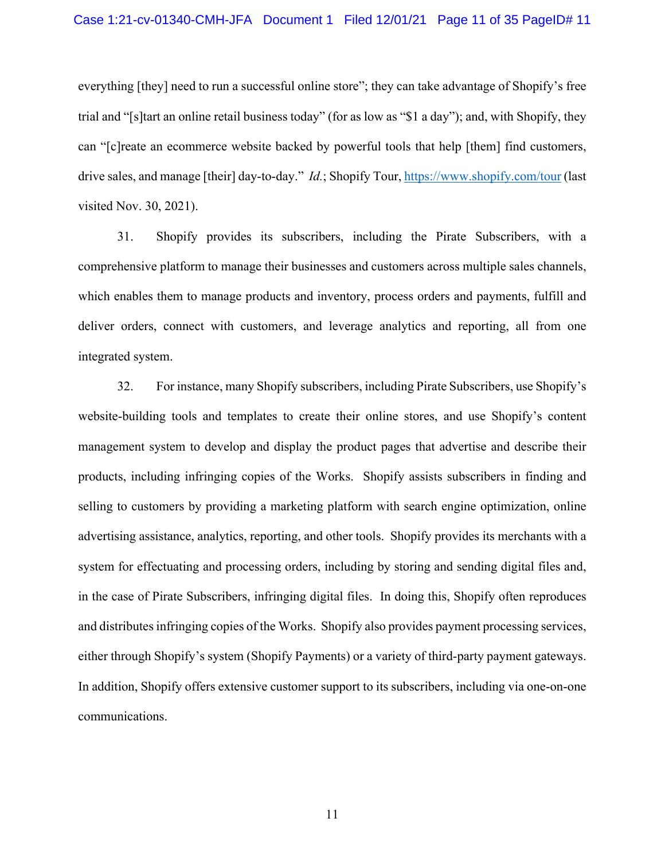everything [they] need to run a successful online store"; they can take advantage of Shopify's free trial and "[s]tart an online retail business today" (for as low as "\$1 a day"); and, with Shopify, they can "[c]reate an ecommerce website backed by powerful tools that help [them] find customers, drive sales, and manage [their] day-to-day." *Id.*; Shopify Tour, https://www.shopify.com/tour (last visited Nov. 30, 2021).

31. Shopify provides its subscribers, including the Pirate Subscribers, with a comprehensive platform to manage their businesses and customers across multiple sales channels, which enables them to manage products and inventory, process orders and payments, fulfill and deliver orders, connect with customers, and leverage analytics and reporting, all from one integrated system.

32. For instance, many Shopify subscribers, including Pirate Subscribers, use Shopify's website-building tools and templates to create their online stores, and use Shopify's content management system to develop and display the product pages that advertise and describe their products, including infringing copies of the Works. Shopify assists subscribers in finding and selling to customers by providing a marketing platform with search engine optimization, online advertising assistance, analytics, reporting, and other tools. Shopify provides its merchants with a system for effectuating and processing orders, including by storing and sending digital files and, in the case of Pirate Subscribers, infringing digital files. In doing this, Shopify often reproduces and distributes infringing copies of the Works. Shopify also provides payment processing services, either through Shopify's system (Shopify Payments) or a variety of third-party payment gateways. In addition, Shopify offers extensive customer support to its subscribers, including via one-on-one communications.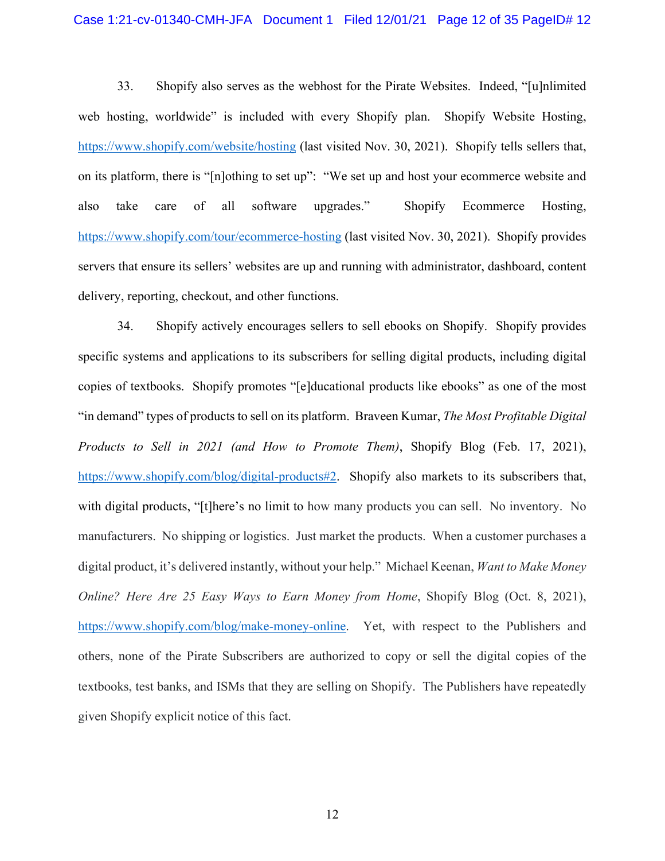## Case 1:21-cv-01340-CMH-JFA Document 1 Filed 12/01/21 Page 12 of 35 PageID# 12

33. Shopify also serves as the webhost for the Pirate Websites. Indeed, "[u]nlimited web hosting, worldwide" is included with every Shopify plan. Shopify Website Hosting, https://www.shopify.com/website/hosting (last visited Nov. 30, 2021). Shopify tells sellers that, on its platform, there is "[n]othing to set up": "We set up and host your ecommerce website and also take care of all software upgrades." Shopify Ecommerce Hosting, https://www.shopify.com/tour/ecommerce-hosting (last visited Nov. 30, 2021). Shopify provides servers that ensure its sellers' websites are up and running with administrator, dashboard, content delivery, reporting, checkout, and other functions.

34. Shopify actively encourages sellers to sell ebooks on Shopify. Shopify provides specific systems and applications to its subscribers for selling digital products, including digital copies of textbooks. Shopify promotes "[e]ducational products like ebooks" as one of the most "in demand" types of products to sell on its platform. Braveen Kumar, *The Most Profitable Digital Products to Sell in 2021 (and How to Promote Them)*, Shopify Blog (Feb. 17, 2021), https://www.shopify.com/blog/digital-products#2. Shopify also markets to its subscribers that, with digital products, "[t]here's no limit to how many products you can sell. No inventory. No manufacturers. No shipping or logistics. Just market the products. When a customer purchases a digital product, it's delivered instantly, without your help." Michael Keenan, *Want to Make Money Online? Here Are 25 Easy Ways to Earn Money from Home*, Shopify Blog (Oct. 8, 2021), https://www.shopify.com/blog/make-money-online. Yet, with respect to the Publishers and others, none of the Pirate Subscribers are authorized to copy or sell the digital copies of the textbooks, test banks, and ISMs that they are selling on Shopify. The Publishers have repeatedly given Shopify explicit notice of this fact.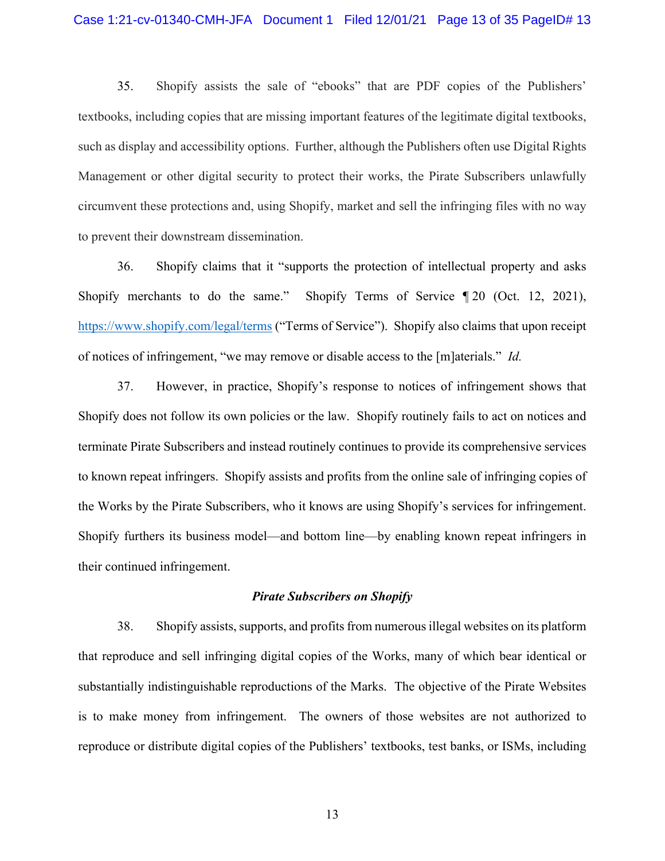35. Shopify assists the sale of "ebooks" that are PDF copies of the Publishers' textbooks, including copies that are missing important features of the legitimate digital textbooks, such as display and accessibility options. Further, although the Publishers often use Digital Rights Management or other digital security to protect their works, the Pirate Subscribers unlawfully circumvent these protections and, using Shopify, market and sell the infringing files with no way to prevent their downstream dissemination.

36. Shopify claims that it "supports the protection of intellectual property and asks Shopify merchants to do the same." Shopify Terms of Service  $\P$  20 (Oct. 12, 2021), https://www.shopify.com/legal/terms ("Terms of Service"). Shopify also claims that upon receipt of notices of infringement, "we may remove or disable access to the [m]aterials." *Id.* 

37. However, in practice, Shopify's response to notices of infringement shows that Shopify does not follow its own policies or the law. Shopify routinely fails to act on notices and terminate Pirate Subscribers and instead routinely continues to provide its comprehensive services to known repeat infringers. Shopify assists and profits from the online sale of infringing copies of the Works by the Pirate Subscribers, who it knows are using Shopify's services for infringement. Shopify furthers its business model—and bottom line—by enabling known repeat infringers in their continued infringement.

## *Pirate Subscribers on Shopify*

38. Shopify assists, supports, and profits from numerous illegal websites on its platform that reproduce and sell infringing digital copies of the Works, many of which bear identical or substantially indistinguishable reproductions of the Marks. The objective of the Pirate Websites is to make money from infringement. The owners of those websites are not authorized to reproduce or distribute digital copies of the Publishers' textbooks, test banks, or ISMs, including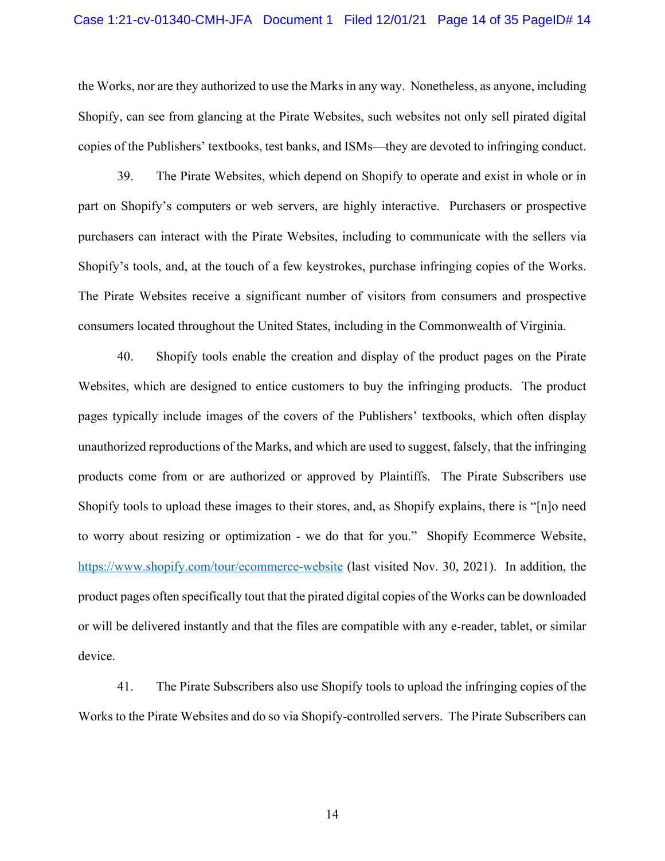## Case 1:21-cv-01340-CMH-JFA Document 1 Filed 12/01/21 Page 14 of 35 PageID# 14

the Works, nor are they authorized to use the Marks in any way. Nonetheless, as anyone, including Shopify, can see from glancing at the Pirate Websites, such websites not only sell pirated digital copies of the Publishers' textbooks, test banks, and ISMs—they are devoted to infringing conduct.

39. The Pirate Websites, which depend on Shopify to operate and exist in whole or in part on Shopify's computers or web servers, are highly interactive. Purchasers or prospective purchasers can interact with the Pirate Websites, including to communicate with the sellers via Shopify's tools, and, at the touch of a few keystrokes, purchase infringing copies of the Works. The Pirate Websites receive a significant number of visitors from consumers and prospective consumers located throughout the United States, including in the Commonwealth of Virginia.

40. Shopify tools enable the creation and display of the product pages on the Pirate Websites, which are designed to entice customers to buy the infringing products. The product pages typically include images of the covers of the Publishers' textbooks, which often display unauthorized reproductions of the Marks, and which are used to suggest, falsely, that the infringing products come from or are authorized or approved by Plaintiffs. The Pirate Subscribers use Shopify tools to upload these images to their stores, and, as Shopify explains, there is "[n]o need to worry about resizing or optimization - we do that for you." Shopify Ecommerce Website, https://www.shopify.com/tour/ecommerce-website (last visited Nov. 30, 2021). In addition, the product pages often specifically tout that the pirated digital copies of the Works can be downloaded or will be delivered instantly and that the files are compatible with any e-reader, tablet, or similar device.

41. The Pirate Subscribers also use Shopify tools to upload the infringing copies of the Works to the Pirate Websites and do so via Shopify-controlled servers. The Pirate Subscribers can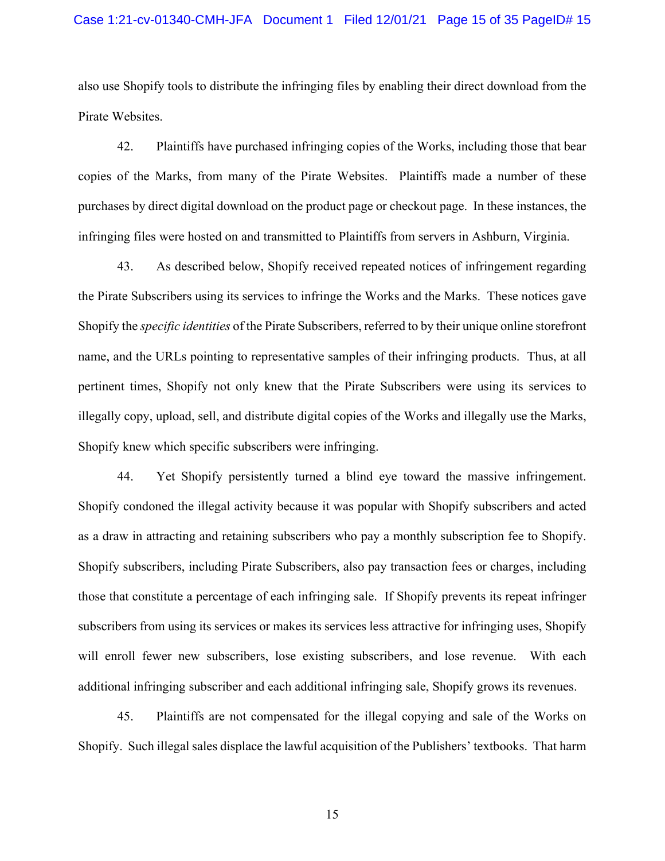## Case 1:21-cv-01340-CMH-JFA Document 1 Filed 12/01/21 Page 15 of 35 PageID# 15

also use Shopify tools to distribute the infringing files by enabling their direct download from the Pirate Websites.

42. Plaintiffs have purchased infringing copies of the Works, including those that bear copies of the Marks, from many of the Pirate Websites. Plaintiffs made a number of these purchases by direct digital download on the product page or checkout page. In these instances, the infringing files were hosted on and transmitted to Plaintiffs from servers in Ashburn, Virginia.

43. As described below, Shopify received repeated notices of infringement regarding the Pirate Subscribers using its services to infringe the Works and the Marks. These notices gave Shopify the *specific identities* of the Pirate Subscribers, referred to by their unique online storefront name, and the URLs pointing to representative samples of their infringing products. Thus, at all pertinent times, Shopify not only knew that the Pirate Subscribers were using its services to illegally copy, upload, sell, and distribute digital copies of the Works and illegally use the Marks, Shopify knew which specific subscribers were infringing.

44. Yet Shopify persistently turned a blind eye toward the massive infringement. Shopify condoned the illegal activity because it was popular with Shopify subscribers and acted as a draw in attracting and retaining subscribers who pay a monthly subscription fee to Shopify. Shopify subscribers, including Pirate Subscribers, also pay transaction fees or charges, including those that constitute a percentage of each infringing sale. If Shopify prevents its repeat infringer subscribers from using its services or makes its services less attractive for infringing uses, Shopify will enroll fewer new subscribers, lose existing subscribers, and lose revenue. With each additional infringing subscriber and each additional infringing sale, Shopify grows its revenues.

45. Plaintiffs are not compensated for the illegal copying and sale of the Works on Shopify. Such illegal sales displace the lawful acquisition of the Publishers' textbooks. That harm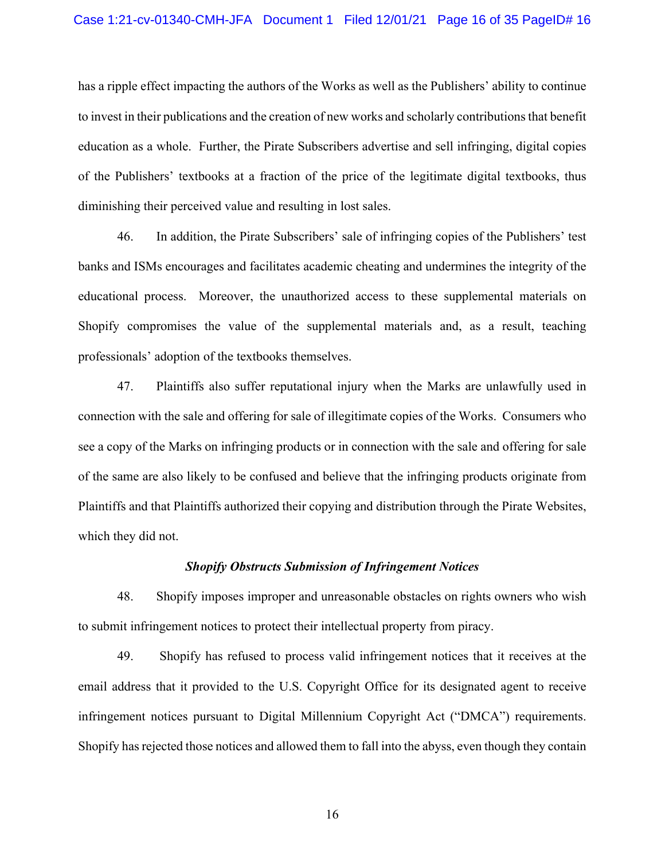## Case 1:21-cv-01340-CMH-JFA Document 1 Filed 12/01/21 Page 16 of 35 PageID# 16

has a ripple effect impacting the authors of the Works as well as the Publishers' ability to continue to invest in their publications and the creation of new works and scholarly contributions that benefit education as a whole. Further, the Pirate Subscribers advertise and sell infringing, digital copies of the Publishers' textbooks at a fraction of the price of the legitimate digital textbooks, thus diminishing their perceived value and resulting in lost sales.

46. In addition, the Pirate Subscribers' sale of infringing copies of the Publishers' test banks and ISMs encourages and facilitates academic cheating and undermines the integrity of the educational process. Moreover, the unauthorized access to these supplemental materials on Shopify compromises the value of the supplemental materials and, as a result, teaching professionals' adoption of the textbooks themselves.

47. Plaintiffs also suffer reputational injury when the Marks are unlawfully used in connection with the sale and offering for sale of illegitimate copies of the Works. Consumers who see a copy of the Marks on infringing products or in connection with the sale and offering for sale of the same are also likely to be confused and believe that the infringing products originate from Plaintiffs and that Plaintiffs authorized their copying and distribution through the Pirate Websites, which they did not.

## *Shopify Obstructs Submission of Infringement Notices*

48. Shopify imposes improper and unreasonable obstacles on rights owners who wish to submit infringement notices to protect their intellectual property from piracy.

49. Shopify has refused to process valid infringement notices that it receives at the email address that it provided to the U.S. Copyright Office for its designated agent to receive infringement notices pursuant to Digital Millennium Copyright Act ("DMCA") requirements. Shopify has rejected those notices and allowed them to fall into the abyss, even though they contain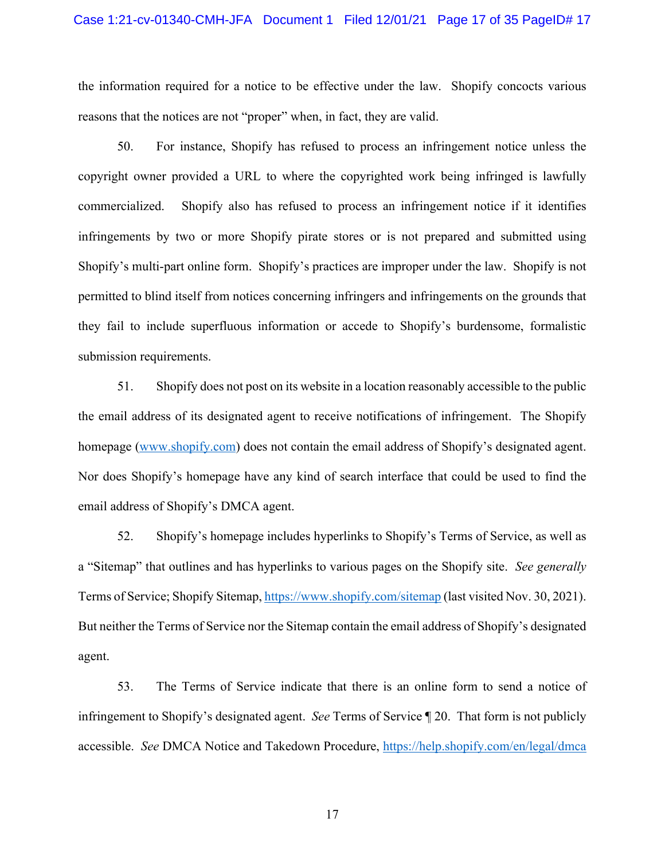the information required for a notice to be effective under the law. Shopify concocts various reasons that the notices are not "proper" when, in fact, they are valid.

50. For instance, Shopify has refused to process an infringement notice unless the copyright owner provided a URL to where the copyrighted work being infringed is lawfully commercialized. Shopify also has refused to process an infringement notice if it identifies infringements by two or more Shopify pirate stores or is not prepared and submitted using Shopify's multi-part online form. Shopify's practices are improper under the law. Shopify is not permitted to blind itself from notices concerning infringers and infringements on the grounds that they fail to include superfluous information or accede to Shopify's burdensome, formalistic submission requirements.

51. Shopify does not post on its website in a location reasonably accessible to the public the email address of its designated agent to receive notifications of infringement. The Shopify homepage (www.shopify.com) does not contain the email address of Shopify's designated agent. Nor does Shopify's homepage have any kind of search interface that could be used to find the email address of Shopify's DMCA agent.

52. Shopify's homepage includes hyperlinks to Shopify's Terms of Service, as well as a "Sitemap" that outlines and has hyperlinks to various pages on the Shopify site. *See generally* Terms of Service; Shopify Sitemap, https://www.shopify.com/sitemap (last visited Nov. 30, 2021). But neither the Terms of Service nor the Sitemap contain the email address of Shopify's designated agent.

53. The Terms of Service indicate that there is an online form to send a notice of infringement to Shopify's designated agent. *See* Terms of Service ¶ 20. That form is not publicly accessible. *See* DMCA Notice and Takedown Procedure, https://help.shopify.com/en/legal/dmca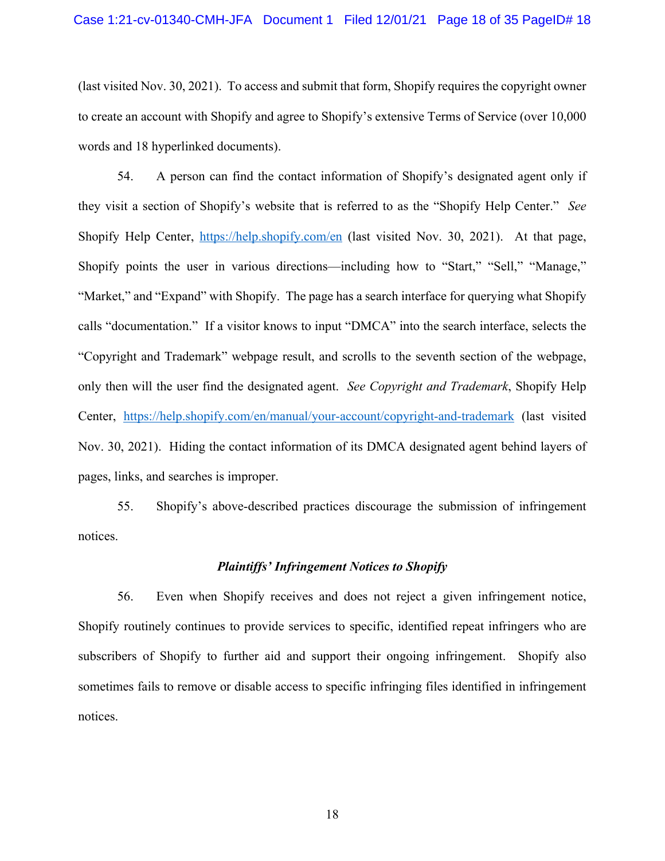(last visited Nov. 30, 2021). To access and submit that form, Shopify requires the copyright owner to create an account with Shopify and agree to Shopify's extensive Terms of Service (over 10,000 words and 18 hyperlinked documents).

54. A person can find the contact information of Shopify's designated agent only if they visit a section of Shopify's website that is referred to as the "Shopify Help Center." *See* Shopify Help Center, https://help.shopify.com/en (last visited Nov. 30, 2021). At that page, Shopify points the user in various directions—including how to "Start," "Sell," "Manage," "Market," and "Expand" with Shopify. The page has a search interface for querying what Shopify calls "documentation." If a visitor knows to input "DMCA" into the search interface, selects the "Copyright and Trademark" webpage result, and scrolls to the seventh section of the webpage, only then will the user find the designated agent. *See Copyright and Trademark*, Shopify Help Center, https://help.shopify.com/en/manual/your-account/copyright-and-trademark (last visited Nov. 30, 2021). Hiding the contact information of its DMCA designated agent behind layers of pages, links, and searches is improper.

55. Shopify's above-described practices discourage the submission of infringement notices.

## *Plaintiffs' Infringement Notices to Shopify*

56. Even when Shopify receives and does not reject a given infringement notice, Shopify routinely continues to provide services to specific, identified repeat infringers who are subscribers of Shopify to further aid and support their ongoing infringement. Shopify also sometimes fails to remove or disable access to specific infringing files identified in infringement notices.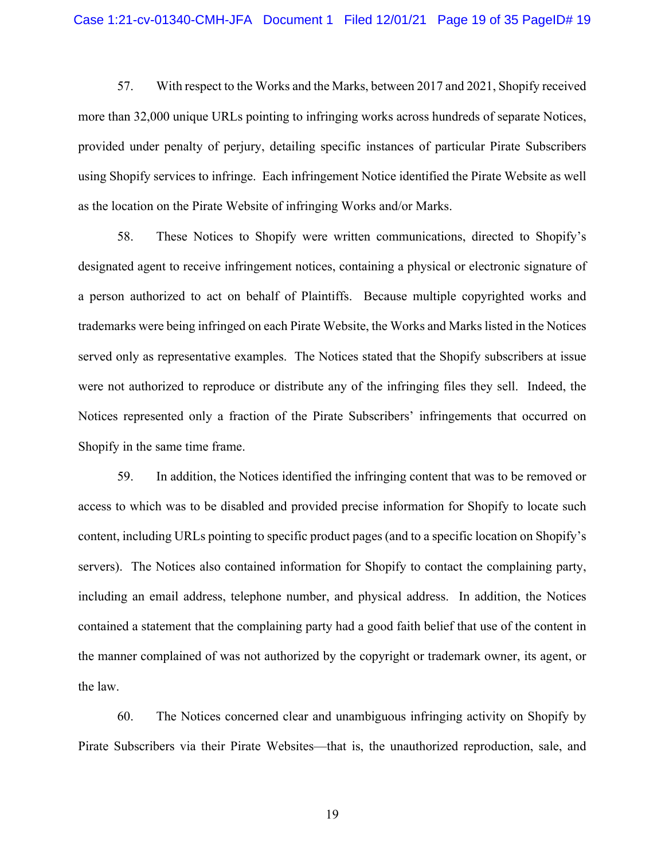57. With respect to the Works and the Marks, between 2017 and 2021, Shopify received more than 32,000 unique URLs pointing to infringing works across hundreds of separate Notices, provided under penalty of perjury, detailing specific instances of particular Pirate Subscribers using Shopify services to infringe. Each infringement Notice identified the Pirate Website as well as the location on the Pirate Website of infringing Works and/or Marks.

58. These Notices to Shopify were written communications, directed to Shopify's designated agent to receive infringement notices, containing a physical or electronic signature of a person authorized to act on behalf of Plaintiffs. Because multiple copyrighted works and trademarks were being infringed on each Pirate Website, the Works and Marks listed in the Notices served only as representative examples. The Notices stated that the Shopify subscribers at issue were not authorized to reproduce or distribute any of the infringing files they sell. Indeed, the Notices represented only a fraction of the Pirate Subscribers' infringements that occurred on Shopify in the same time frame.

59. In addition, the Notices identified the infringing content that was to be removed or access to which was to be disabled and provided precise information for Shopify to locate such content, including URLs pointing to specific product pages (and to a specific location on Shopify's servers). The Notices also contained information for Shopify to contact the complaining party, including an email address, telephone number, and physical address. In addition, the Notices contained a statement that the complaining party had a good faith belief that use of the content in the manner complained of was not authorized by the copyright or trademark owner, its agent, or the law.

60. The Notices concerned clear and unambiguous infringing activity on Shopify by Pirate Subscribers via their Pirate Websites—that is, the unauthorized reproduction, sale, and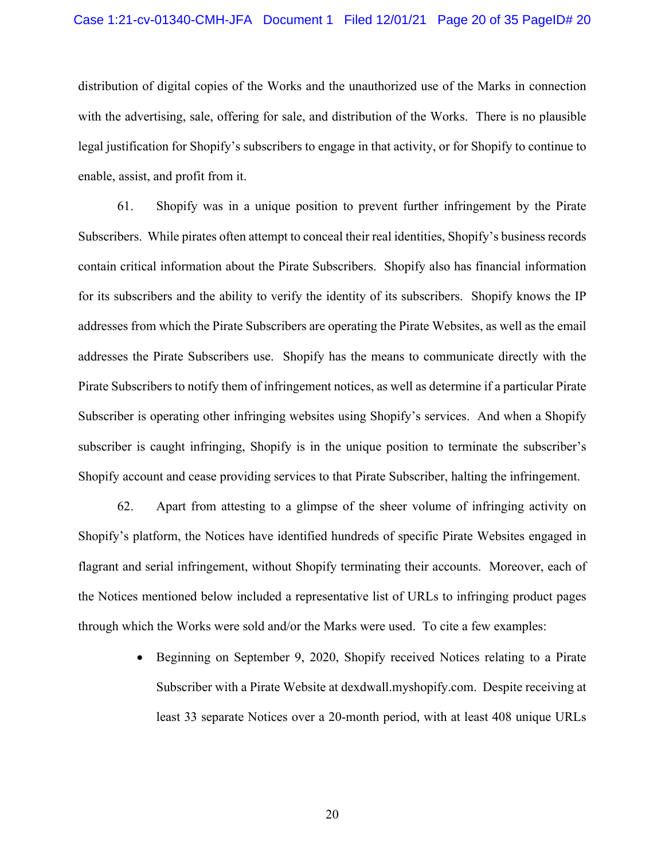distribution of digital copies of the Works and the unauthorized use of the Marks in connection with the advertising, sale, offering for sale, and distribution of the Works. There is no plausible legal justification for Shopify's subscribers to engage in that activity, or for Shopify to continue to enable, assist, and profit from it.

61. Shopify was in a unique position to prevent further infringement by the Pirate Subscribers. While pirates often attempt to conceal their real identities, Shopify's business records contain critical information about the Pirate Subscribers. Shopify also has financial information for its subscribers and the ability to verify the identity of its subscribers. Shopify knows the IP addresses from which the Pirate Subscribers are operating the Pirate Websites, as well as the email addresses the Pirate Subscribers use. Shopify has the means to communicate directly with the Pirate Subscribers to notify them of infringement notices, as well as determine if a particular Pirate Subscriber is operating other infringing websites using Shopify's services. And when a Shopify subscriber is caught infringing, Shopify is in the unique position to terminate the subscriber's Shopify account and cease providing services to that Pirate Subscriber, halting the infringement.

62. Apart from attesting to a glimpse of the sheer volume of infringing activity on Shopify's platform, the Notices have identified hundreds of specific Pirate Websites engaged in flagrant and serial infringement, without Shopify terminating their accounts. Moreover, each of the Notices mentioned below included a representative list of URLs to infringing product pages through which the Works were sold and/or the Marks were used. To cite a few examples:

> • Beginning on September 9, 2020, Shopify received Notices relating to a Pirate Subscriber with a Pirate Website at dexdwall.myshopify.com. Despite receiving at least 33 separate Notices over a 20-month period, with at least 408 unique URLs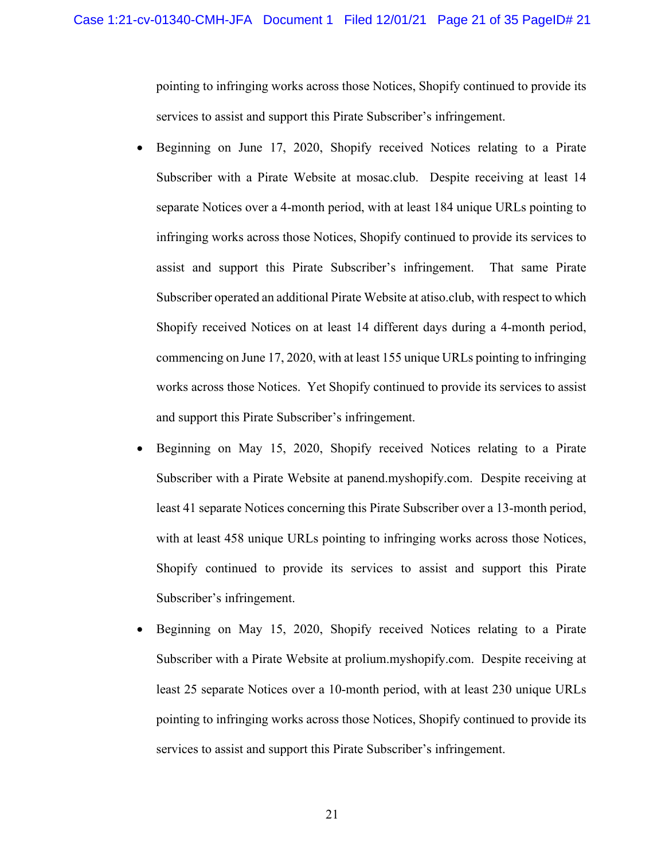pointing to infringing works across those Notices, Shopify continued to provide its services to assist and support this Pirate Subscriber's infringement.

- Beginning on June 17, 2020, Shopify received Notices relating to a Pirate Subscriber with a Pirate Website at mosac.club. Despite receiving at least 14 separate Notices over a 4-month period, with at least 184 unique URLs pointing to infringing works across those Notices, Shopify continued to provide its services to assist and support this Pirate Subscriber's infringement. That same Pirate Subscriber operated an additional Pirate Website at atiso.club, with respect to which Shopify received Notices on at least 14 different days during a 4-month period, commencing on June 17, 2020, with at least 155 unique URLs pointing to infringing works across those Notices. Yet Shopify continued to provide its services to assist and support this Pirate Subscriber's infringement.
- Beginning on May 15, 2020, Shopify received Notices relating to a Pirate Subscriber with a Pirate Website at panend.myshopify.com. Despite receiving at least 41 separate Notices concerning this Pirate Subscriber over a 13-month period, with at least 458 unique URLs pointing to infringing works across those Notices, Shopify continued to provide its services to assist and support this Pirate Subscriber's infringement.
- Beginning on May 15, 2020, Shopify received Notices relating to a Pirate Subscriber with a Pirate Website at prolium.myshopify.com. Despite receiving at least 25 separate Notices over a 10-month period, with at least 230 unique URLs pointing to infringing works across those Notices, Shopify continued to provide its services to assist and support this Pirate Subscriber's infringement.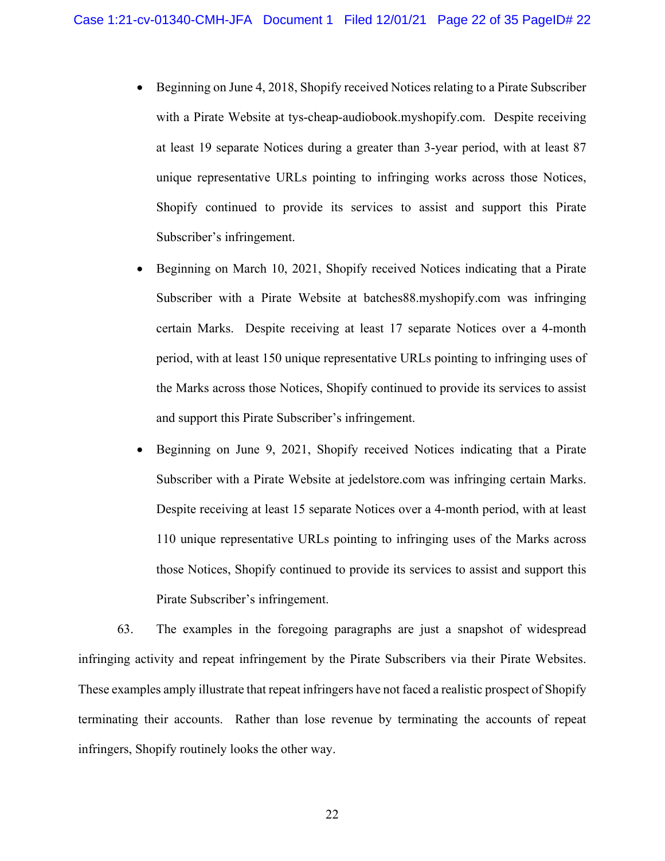- Beginning on June 4, 2018, Shopify received Notices relating to a Pirate Subscriber with a Pirate Website at tys-cheap-audiobook.myshopify.com. Despite receiving at least 19 separate Notices during a greater than 3-year period, with at least 87 unique representative URLs pointing to infringing works across those Notices, Shopify continued to provide its services to assist and support this Pirate Subscriber's infringement.
- Beginning on March 10, 2021, Shopify received Notices indicating that a Pirate Subscriber with a Pirate Website at batches88.myshopify.com was infringing certain Marks. Despite receiving at least 17 separate Notices over a 4-month period, with at least 150 unique representative URLs pointing to infringing uses of the Marks across those Notices, Shopify continued to provide its services to assist and support this Pirate Subscriber's infringement.
- Beginning on June 9, 2021, Shopify received Notices indicating that a Pirate Subscriber with a Pirate Website at jedelstore.com was infringing certain Marks. Despite receiving at least 15 separate Notices over a 4-month period, with at least 110 unique representative URLs pointing to infringing uses of the Marks across those Notices, Shopify continued to provide its services to assist and support this Pirate Subscriber's infringement.

63. The examples in the foregoing paragraphs are just a snapshot of widespread infringing activity and repeat infringement by the Pirate Subscribers via their Pirate Websites. These examples amply illustrate that repeat infringers have not faced a realistic prospect of Shopify terminating their accounts. Rather than lose revenue by terminating the accounts of repeat infringers, Shopify routinely looks the other way.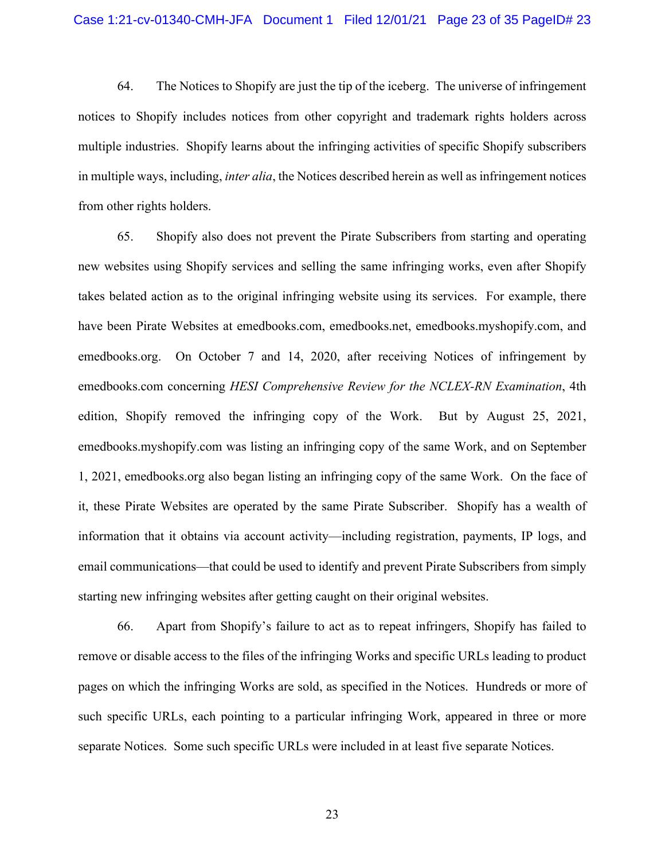64. The Notices to Shopify are just the tip of the iceberg. The universe of infringement notices to Shopify includes notices from other copyright and trademark rights holders across multiple industries. Shopify learns about the infringing activities of specific Shopify subscribers in multiple ways, including, *inter alia*, the Notices described herein as well as infringement notices from other rights holders.

65. Shopify also does not prevent the Pirate Subscribers from starting and operating new websites using Shopify services and selling the same infringing works, even after Shopify takes belated action as to the original infringing website using its services. For example, there have been Pirate Websites at emedbooks.com, emedbooks.net, emedbooks.myshopify.com, and emedbooks.org. On October 7 and 14, 2020, after receiving Notices of infringement by emedbooks.com concerning *HESI Comprehensive Review for the NCLEX-RN Examination*, 4th edition, Shopify removed the infringing copy of the Work. But by August 25, 2021, emedbooks.myshopify.com was listing an infringing copy of the same Work, and on September 1, 2021, emedbooks.org also began listing an infringing copy of the same Work. On the face of it, these Pirate Websites are operated by the same Pirate Subscriber. Shopify has a wealth of information that it obtains via account activity—including registration, payments, IP logs, and email communications—that could be used to identify and prevent Pirate Subscribers from simply starting new infringing websites after getting caught on their original websites.

66. Apart from Shopify's failure to act as to repeat infringers, Shopify has failed to remove or disable access to the files of the infringing Works and specific URLs leading to product pages on which the infringing Works are sold, as specified in the Notices. Hundreds or more of such specific URLs, each pointing to a particular infringing Work, appeared in three or more separate Notices. Some such specific URLs were included in at least five separate Notices.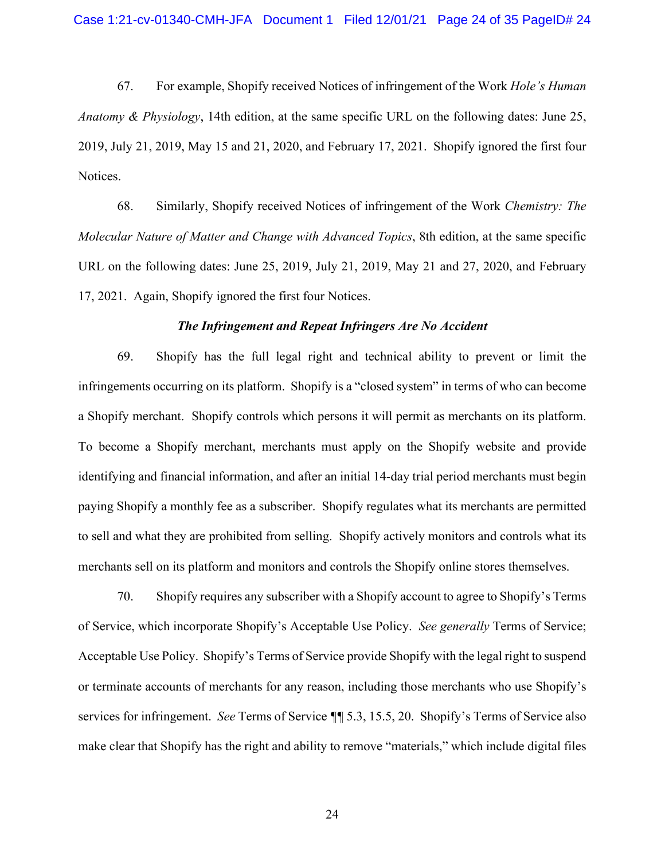67. For example, Shopify received Notices of infringement of the Work *Hole's Human Anatomy & Physiology*, 14th edition, at the same specific URL on the following dates: June 25, 2019, July 21, 2019, May 15 and 21, 2020, and February 17, 2021. Shopify ignored the first four Notices.

68. Similarly, Shopify received Notices of infringement of the Work *Chemistry: The Molecular Nature of Matter and Change with Advanced Topics*, 8th edition, at the same specific URL on the following dates: June 25, 2019, July 21, 2019, May 21 and 27, 2020, and February 17, 2021. Again, Shopify ignored the first four Notices.

## *The Infringement and Repeat Infringers Are No Accident*

69. Shopify has the full legal right and technical ability to prevent or limit the infringements occurring on its platform. Shopify is a "closed system" in terms of who can become a Shopify merchant. Shopify controls which persons it will permit as merchants on its platform. To become a Shopify merchant, merchants must apply on the Shopify website and provide identifying and financial information, and after an initial 14-day trial period merchants must begin paying Shopify a monthly fee as a subscriber. Shopify regulates what its merchants are permitted to sell and what they are prohibited from selling. Shopify actively monitors and controls what its merchants sell on its platform and monitors and controls the Shopify online stores themselves.

70. Shopify requires any subscriber with a Shopify account to agree to Shopify's Terms of Service, which incorporate Shopify's Acceptable Use Policy. *See generally* Terms of Service; Acceptable Use Policy. Shopify's Terms of Service provide Shopify with the legal right to suspend or terminate accounts of merchants for any reason, including those merchants who use Shopify's services for infringement. *See* Terms of Service *¶¶* 5.3, 15.5, 20. Shopify's Terms of Service also make clear that Shopify has the right and ability to remove "materials," which include digital files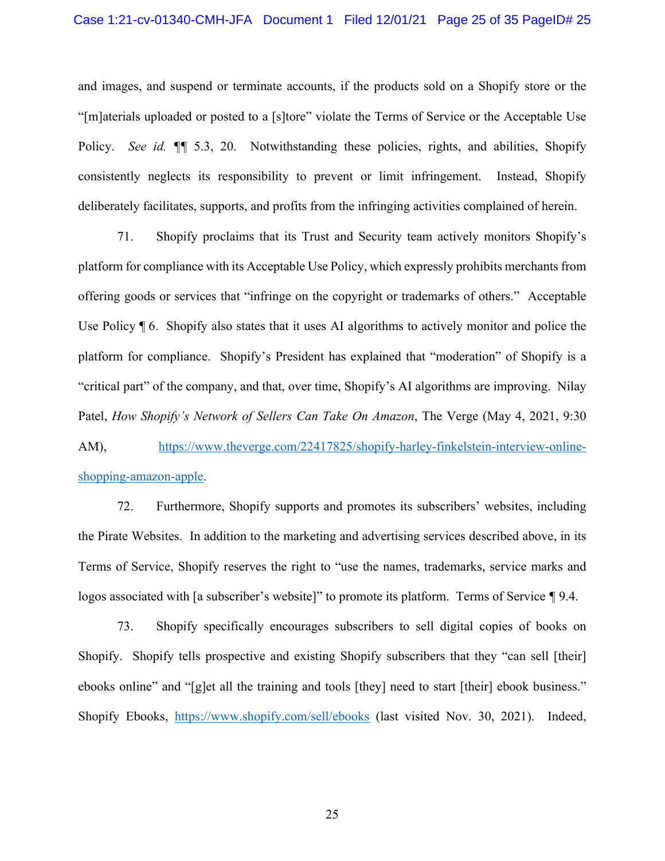## Case 1:21-cv-01340-CMH-JFA Document 1 Filed 12/01/21 Page 25 of 35 PageID# 25

and images, and suspend or terminate accounts, if the products sold on a Shopify store or the "[m]aterials uploaded or posted to a [s]tore" violate the Terms of Service or the Acceptable Use Policy. *See id. ¶¶* 5.3, 20. Notwithstanding these policies, rights, and abilities, Shopify consistently neglects its responsibility to prevent or limit infringement. Instead, Shopify deliberately facilitates, supports, and profits from the infringing activities complained of herein.

71. Shopify proclaims that its Trust and Security team actively monitors Shopify's platform for compliance with its Acceptable Use Policy, which expressly prohibits merchants from offering goods or services that "infringe on the copyright or trademarks of others." Acceptable Use Policy ¶ 6. Shopify also states that it uses AI algorithms to actively monitor and police the platform for compliance. Shopify's President has explained that "moderation" of Shopify is a "critical part" of the company, and that, over time, Shopify's AI algorithms are improving. Nilay Patel, *How Shopify's Network of Sellers Can Take On Amazon*, The Verge (May 4, 2021, 9:30

AM), https://www.theverge.com/22417825/shopify-harley-finkelstein-interview-onlineshopping-amazon-apple.

72. Furthermore, Shopify supports and promotes its subscribers' websites, including the Pirate Websites. In addition to the marketing and advertising services described above, in its Terms of Service, Shopify reserves the right to "use the names, trademarks, service marks and logos associated with [a subscriber's website]" to promote its platform. Terms of Service *¶* 9.4.

73. Shopify specifically encourages subscribers to sell digital copies of books on Shopify. Shopify tells prospective and existing Shopify subscribers that they "can sell [their] ebooks online" and "[g]et all the training and tools [they] need to start [their] ebook business." Shopify Ebooks, https://www.shopify.com/sell/ebooks (last visited Nov. 30, 2021). Indeed,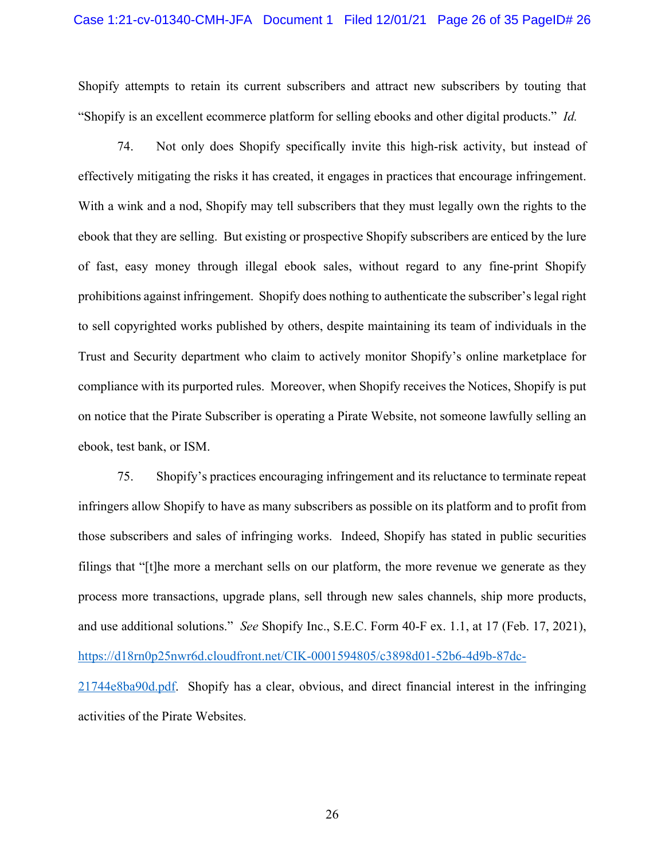Shopify attempts to retain its current subscribers and attract new subscribers by touting that "Shopify is an excellent ecommerce platform for selling ebooks and other digital products." *Id.*

74. Not only does Shopify specifically invite this high-risk activity, but instead of effectively mitigating the risks it has created, it engages in practices that encourage infringement. With a wink and a nod, Shopify may tell subscribers that they must legally own the rights to the ebook that they are selling. But existing or prospective Shopify subscribers are enticed by the lure of fast, easy money through illegal ebook sales, without regard to any fine-print Shopify prohibitions against infringement. Shopify does nothing to authenticate the subscriber's legal right to sell copyrighted works published by others, despite maintaining its team of individuals in the Trust and Security department who claim to actively monitor Shopify's online marketplace for compliance with its purported rules. Moreover, when Shopify receives the Notices, Shopify is put on notice that the Pirate Subscriber is operating a Pirate Website, not someone lawfully selling an ebook, test bank, or ISM.

75. Shopify's practices encouraging infringement and its reluctance to terminate repeat infringers allow Shopify to have as many subscribers as possible on its platform and to profit from those subscribers and sales of infringing works. Indeed, Shopify has stated in public securities filings that "[t]he more a merchant sells on our platform, the more revenue we generate as they process more transactions, upgrade plans, sell through new sales channels, ship more products, and use additional solutions." *See* Shopify Inc., S.E.C. Form 40-F ex. 1.1, at 17 (Feb. 17, 2021), https://d18rn0p25nwr6d.cloudfront.net/CIK-0001594805/c3898d01-52b6-4d9b-87dc-21744e8ba90d.pdf. Shopify has a clear, obvious, and direct financial interest in the infringing activities of the Pirate Websites.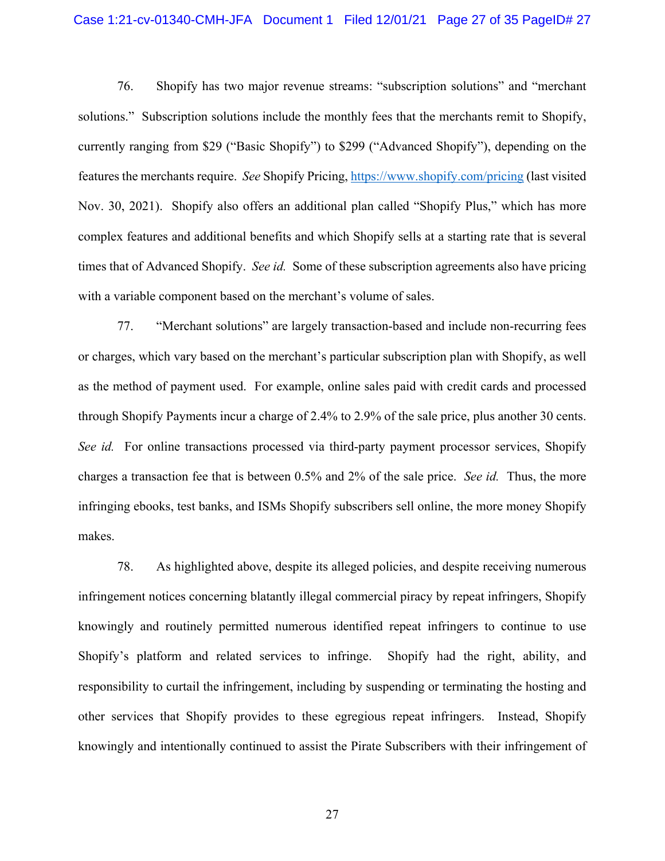## Case 1:21-cv-01340-CMH-JFA Document 1 Filed 12/01/21 Page 27 of 35 PageID# 27

76. Shopify has two major revenue streams: "subscription solutions" and "merchant solutions." Subscription solutions include the monthly fees that the merchants remit to Shopify, currently ranging from \$29 ("Basic Shopify") to \$299 ("Advanced Shopify"), depending on the features the merchants require. *See* Shopify Pricing, https://www.shopify.com/pricing (last visited Nov. 30, 2021). Shopify also offers an additional plan called "Shopify Plus," which has more complex features and additional benefits and which Shopify sells at a starting rate that is several times that of Advanced Shopify. *See id.* Some of these subscription agreements also have pricing with a variable component based on the merchant's volume of sales.

77. "Merchant solutions" are largely transaction-based and include non-recurring fees or charges, which vary based on the merchant's particular subscription plan with Shopify, as well as the method of payment used. For example, online sales paid with credit cards and processed through Shopify Payments incur a charge of 2.4% to 2.9% of the sale price, plus another 30 cents. *See id.* For online transactions processed via third-party payment processor services, Shopify charges a transaction fee that is between 0.5% and 2% of the sale price. *See id.* Thus, the more infringing ebooks, test banks, and ISMs Shopify subscribers sell online, the more money Shopify makes.

78. As highlighted above, despite its alleged policies, and despite receiving numerous infringement notices concerning blatantly illegal commercial piracy by repeat infringers, Shopify knowingly and routinely permitted numerous identified repeat infringers to continue to use Shopify's platform and related services to infringe. Shopify had the right, ability, and responsibility to curtail the infringement, including by suspending or terminating the hosting and other services that Shopify provides to these egregious repeat infringers. Instead, Shopify knowingly and intentionally continued to assist the Pirate Subscribers with their infringement of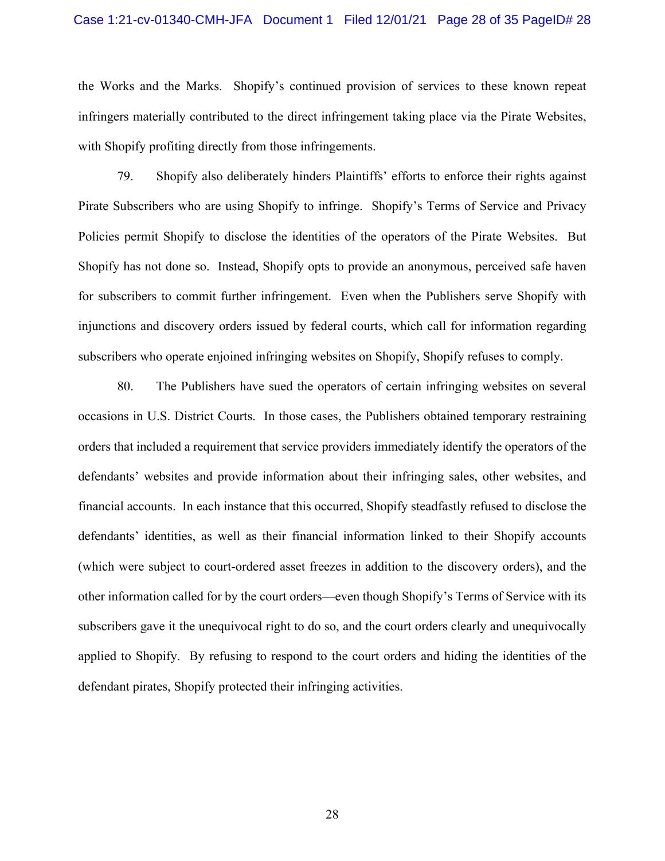## Case 1:21-cv-01340-CMH-JFA Document 1 Filed 12/01/21 Page 28 of 35 PageID# 28

the Works and the Marks. Shopify's continued provision of services to these known repeat infringers materially contributed to the direct infringement taking place via the Pirate Websites, with Shopify profiting directly from those infringements.

79. Shopify also deliberately hinders Plaintiffs' efforts to enforce their rights against Pirate Subscribers who are using Shopify to infringe. Shopify's Terms of Service and Privacy Policies permit Shopify to disclose the identities of the operators of the Pirate Websites. But Shopify has not done so. Instead, Shopify opts to provide an anonymous, perceived safe haven for subscribers to commit further infringement. Even when the Publishers serve Shopify with injunctions and discovery orders issued by federal courts, which call for information regarding subscribers who operate enjoined infringing websites on Shopify, Shopify refuses to comply.

80. The Publishers have sued the operators of certain infringing websites on several occasions in U.S. District Courts. In those cases, the Publishers obtained temporary restraining orders that included a requirement that service providers immediately identify the operators of the defendants' websites and provide information about their infringing sales, other websites, and financial accounts. In each instance that this occurred, Shopify steadfastly refused to disclose the defendants' identities, as well as their financial information linked to their Shopify accounts (which were subject to court-ordered asset freezes in addition to the discovery orders), and the other information called for by the court orders—even though Shopify's Terms of Service with its subscribers gave it the unequivocal right to do so, and the court orders clearly and unequivocally applied to Shopify. By refusing to respond to the court orders and hiding the identities of the defendant pirates, Shopify protected their infringing activities.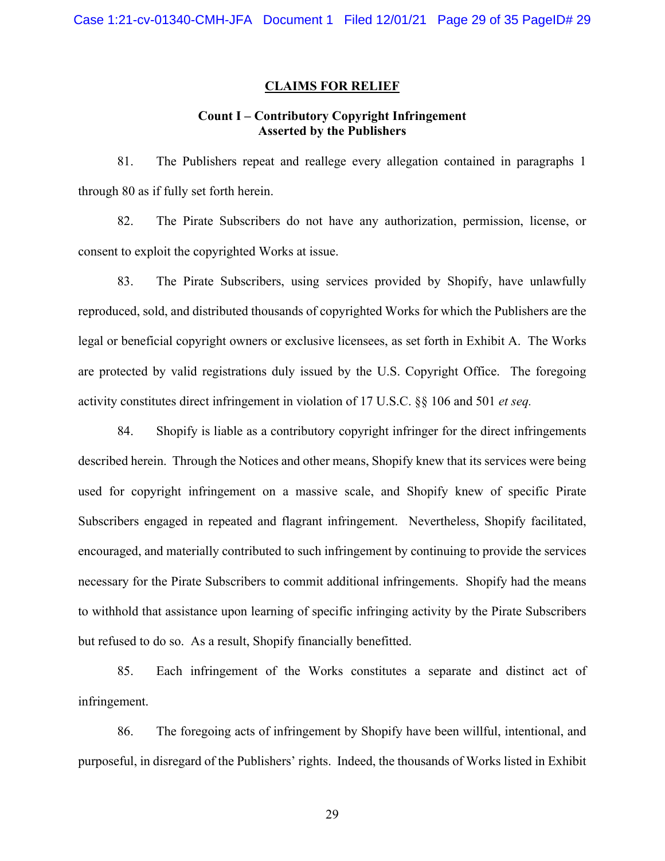## **CLAIMS FOR RELIEF**

## **Count I – Contributory Copyright Infringement Asserted by the Publishers**

81. The Publishers repeat and reallege every allegation contained in paragraphs 1 through 80 as if fully set forth herein.

82. The Pirate Subscribers do not have any authorization, permission, license, or consent to exploit the copyrighted Works at issue.

83. The Pirate Subscribers, using services provided by Shopify, have unlawfully reproduced, sold, and distributed thousands of copyrighted Works for which the Publishers are the legal or beneficial copyright owners or exclusive licensees, as set forth in Exhibit A. The Works are protected by valid registrations duly issued by the U.S. Copyright Office. The foregoing activity constitutes direct infringement in violation of 17 U.S.C. §§ 106 and 501 *et seq.*

84. Shopify is liable as a contributory copyright infringer for the direct infringements described herein. Through the Notices and other means, Shopify knew that its services were being used for copyright infringement on a massive scale, and Shopify knew of specific Pirate Subscribers engaged in repeated and flagrant infringement. Nevertheless, Shopify facilitated, encouraged, and materially contributed to such infringement by continuing to provide the services necessary for the Pirate Subscribers to commit additional infringements. Shopify had the means to withhold that assistance upon learning of specific infringing activity by the Pirate Subscribers but refused to do so. As a result, Shopify financially benefitted.

85. Each infringement of the Works constitutes a separate and distinct act of infringement.

86. The foregoing acts of infringement by Shopify have been willful, intentional, and purposeful, in disregard of the Publishers' rights. Indeed, the thousands of Works listed in Exhibit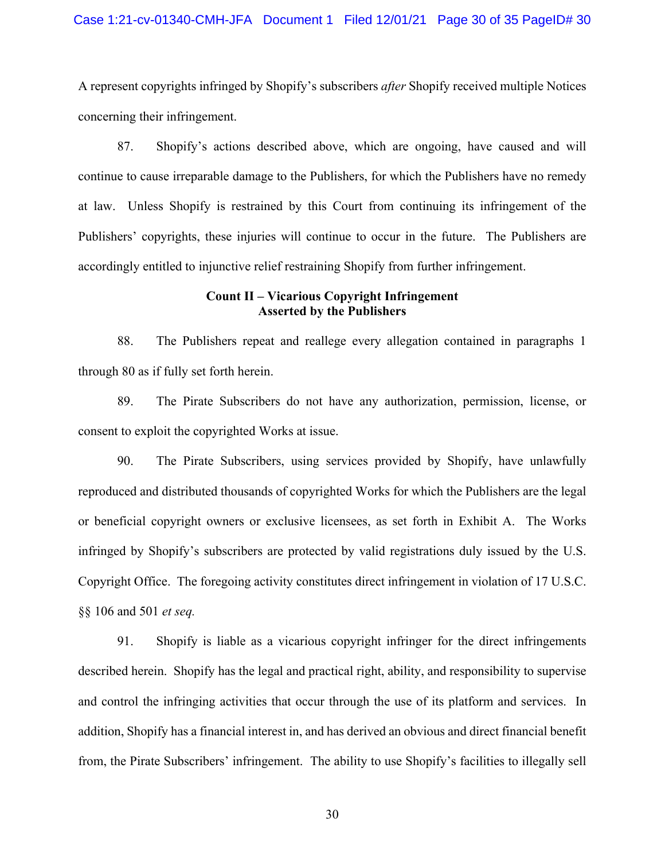## Case 1:21-cv-01340-CMH-JFA Document 1 Filed 12/01/21 Page 30 of 35 PageID# 30

A represent copyrights infringed by Shopify's subscribers *after* Shopify received multiple Notices concerning their infringement.

87. Shopify's actions described above, which are ongoing, have caused and will continue to cause irreparable damage to the Publishers, for which the Publishers have no remedy at law. Unless Shopify is restrained by this Court from continuing its infringement of the Publishers' copyrights, these injuries will continue to occur in the future. The Publishers are accordingly entitled to injunctive relief restraining Shopify from further infringement.

## **Count II – Vicarious Copyright Infringement Asserted by the Publishers**

88. The Publishers repeat and reallege every allegation contained in paragraphs 1 through 80 as if fully set forth herein.

89. The Pirate Subscribers do not have any authorization, permission, license, or consent to exploit the copyrighted Works at issue.

90. The Pirate Subscribers, using services provided by Shopify, have unlawfully reproduced and distributed thousands of copyrighted Works for which the Publishers are the legal or beneficial copyright owners or exclusive licensees, as set forth in Exhibit A. The Works infringed by Shopify's subscribers are protected by valid registrations duly issued by the U.S. Copyright Office. The foregoing activity constitutes direct infringement in violation of 17 U.S.C. §§ 106 and 501 *et seq.*

91. Shopify is liable as a vicarious copyright infringer for the direct infringements described herein. Shopify has the legal and practical right, ability, and responsibility to supervise and control the infringing activities that occur through the use of its platform and services. In addition, Shopify has a financial interest in, and has derived an obvious and direct financial benefit from, the Pirate Subscribers' infringement. The ability to use Shopify's facilities to illegally sell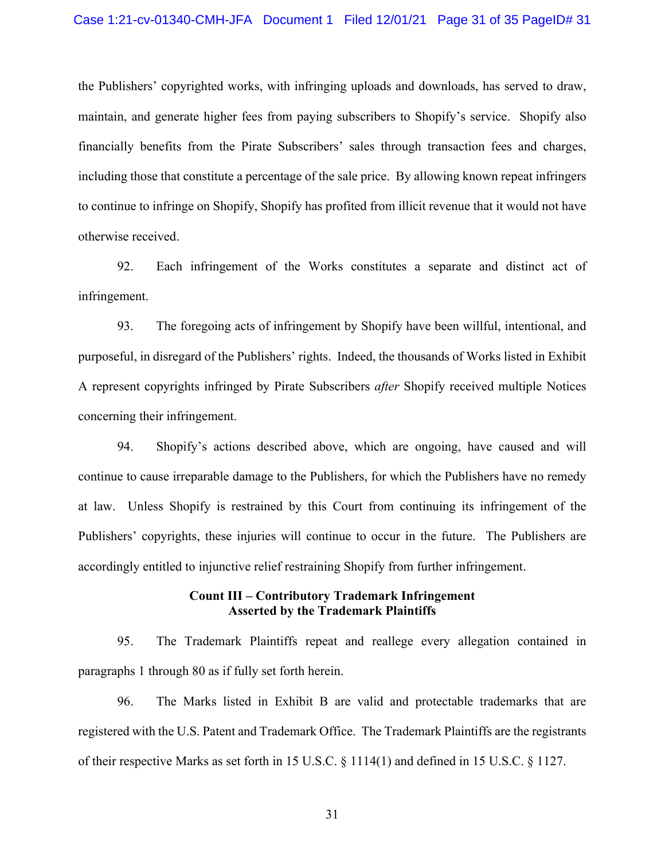## Case 1:21-cv-01340-CMH-JFA Document 1 Filed 12/01/21 Page 31 of 35 PageID# 31

the Publishers' copyrighted works, with infringing uploads and downloads, has served to draw, maintain, and generate higher fees from paying subscribers to Shopify's service. Shopify also financially benefits from the Pirate Subscribers' sales through transaction fees and charges, including those that constitute a percentage of the sale price. By allowing known repeat infringers to continue to infringe on Shopify, Shopify has profited from illicit revenue that it would not have otherwise received.

92. Each infringement of the Works constitutes a separate and distinct act of infringement.

93. The foregoing acts of infringement by Shopify have been willful, intentional, and purposeful, in disregard of the Publishers' rights. Indeed, the thousands of Works listed in Exhibit A represent copyrights infringed by Pirate Subscribers *after* Shopify received multiple Notices concerning their infringement.

94. Shopify's actions described above, which are ongoing, have caused and will continue to cause irreparable damage to the Publishers, for which the Publishers have no remedy at law. Unless Shopify is restrained by this Court from continuing its infringement of the Publishers' copyrights, these injuries will continue to occur in the future. The Publishers are accordingly entitled to injunctive relief restraining Shopify from further infringement.

# **Count III – Contributory Trademark Infringement Asserted by the Trademark Plaintiffs**

95. The Trademark Plaintiffs repeat and reallege every allegation contained in paragraphs 1 through 80 as if fully set forth herein.

96. The Marks listed in Exhibit B are valid and protectable trademarks that are registered with the U.S. Patent and Trademark Office. The Trademark Plaintiffs are the registrants of their respective Marks as set forth in 15 U.S.C. § 1114(1) and defined in 15 U.S.C. § 1127.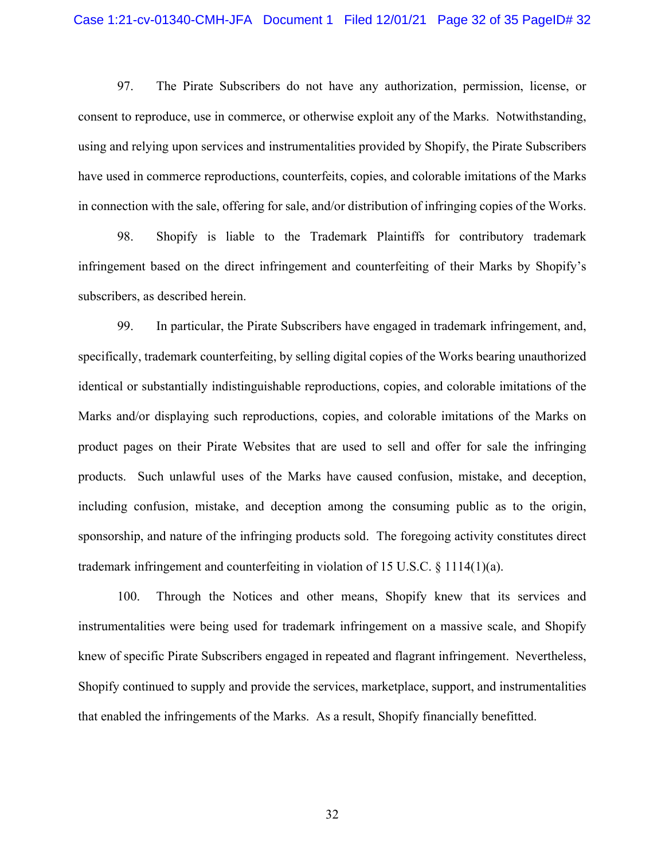97. The Pirate Subscribers do not have any authorization, permission, license, or consent to reproduce, use in commerce, or otherwise exploit any of the Marks. Notwithstanding, using and relying upon services and instrumentalities provided by Shopify, the Pirate Subscribers have used in commerce reproductions, counterfeits, copies, and colorable imitations of the Marks in connection with the sale, offering for sale, and/or distribution of infringing copies of the Works.

98. Shopify is liable to the Trademark Plaintiffs for contributory trademark infringement based on the direct infringement and counterfeiting of their Marks by Shopify's subscribers, as described herein.

99. In particular, the Pirate Subscribers have engaged in trademark infringement, and, specifically, trademark counterfeiting, by selling digital copies of the Works bearing unauthorized identical or substantially indistinguishable reproductions, copies, and colorable imitations of the Marks and/or displaying such reproductions, copies, and colorable imitations of the Marks on product pages on their Pirate Websites that are used to sell and offer for sale the infringing products. Such unlawful uses of the Marks have caused confusion, mistake, and deception, including confusion, mistake, and deception among the consuming public as to the origin, sponsorship, and nature of the infringing products sold. The foregoing activity constitutes direct trademark infringement and counterfeiting in violation of 15 U.S.C.  $\S$  1114(1)(a).

100. Through the Notices and other means, Shopify knew that its services and instrumentalities were being used for trademark infringement on a massive scale, and Shopify knew of specific Pirate Subscribers engaged in repeated and flagrant infringement. Nevertheless, Shopify continued to supply and provide the services, marketplace, support, and instrumentalities that enabled the infringements of the Marks. As a result, Shopify financially benefitted.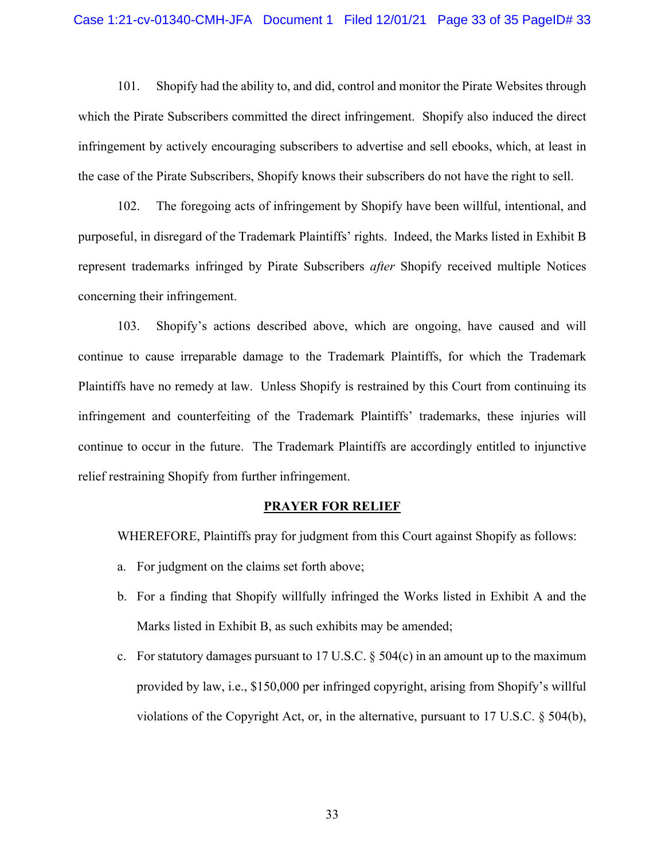## Case 1:21-cv-01340-CMH-JFA Document 1 Filed 12/01/21 Page 33 of 35 PageID# 33

101. Shopify had the ability to, and did, control and monitor the Pirate Websites through which the Pirate Subscribers committed the direct infringement. Shopify also induced the direct infringement by actively encouraging subscribers to advertise and sell ebooks, which, at least in the case of the Pirate Subscribers, Shopify knows their subscribers do not have the right to sell.

102. The foregoing acts of infringement by Shopify have been willful, intentional, and purposeful, in disregard of the Trademark Plaintiffs' rights. Indeed, the Marks listed in Exhibit B represent trademarks infringed by Pirate Subscribers *after* Shopify received multiple Notices concerning their infringement.

103. Shopify's actions described above, which are ongoing, have caused and will continue to cause irreparable damage to the Trademark Plaintiffs, for which the Trademark Plaintiffs have no remedy at law. Unless Shopify is restrained by this Court from continuing its infringement and counterfeiting of the Trademark Plaintiffs' trademarks, these injuries will continue to occur in the future. The Trademark Plaintiffs are accordingly entitled to injunctive relief restraining Shopify from further infringement.

#### **PRAYER FOR RELIEF**

WHEREFORE, Plaintiffs pray for judgment from this Court against Shopify as follows:

- a. For judgment on the claims set forth above;
- b. For a finding that Shopify willfully infringed the Works listed in Exhibit A and the Marks listed in Exhibit B, as such exhibits may be amended;
- c. For statutory damages pursuant to 17 U.S.C.  $\S$  504(c) in an amount up to the maximum provided by law, i.e., \$150,000 per infringed copyright, arising from Shopify's willful violations of the Copyright Act, or, in the alternative, pursuant to 17 U.S.C. § 504(b),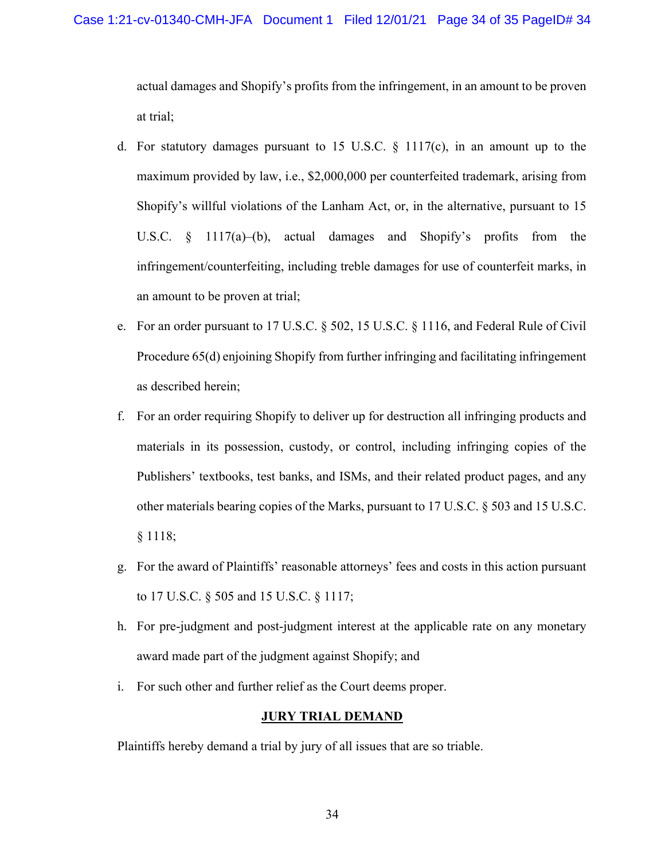actual damages and Shopify's profits from the infringement, in an amount to be proven at trial;

- d. For statutory damages pursuant to 15 U.S.C. § 1117(c), in an amount up to the maximum provided by law, i.e., \$2,000,000 per counterfeited trademark, arising from Shopify's willful violations of the Lanham Act, or, in the alternative, pursuant to 15 U.S.C. § 1117(a)–(b), actual damages and Shopify's profits from the infringement/counterfeiting, including treble damages for use of counterfeit marks, in an amount to be proven at trial;
- e. For an order pursuant to 17 U.S.C. § 502, 15 U.S.C. § 1116, and Federal Rule of Civil Procedure 65(d) enjoining Shopify from further infringing and facilitating infringement as described herein;
- f. For an order requiring Shopify to deliver up for destruction all infringing products and materials in its possession, custody, or control, including infringing copies of the Publishers' textbooks, test banks, and ISMs, and their related product pages, and any other materials bearing copies of the Marks, pursuant to 17 U.S.C. § 503 and 15 U.S.C. § 1118;
- g. For the award of Plaintiffs' reasonable attorneys' fees and costs in this action pursuant to 17 U.S.C. § 505 and 15 U.S.C. § 1117;
- h. For pre-judgment and post-judgment interest at the applicable rate on any monetary award made part of the judgment against Shopify; and
- i. For such other and further relief as the Court deems proper.

## **JURY TRIAL DEMAND**

Plaintiffs hereby demand a trial by jury of all issues that are so triable.